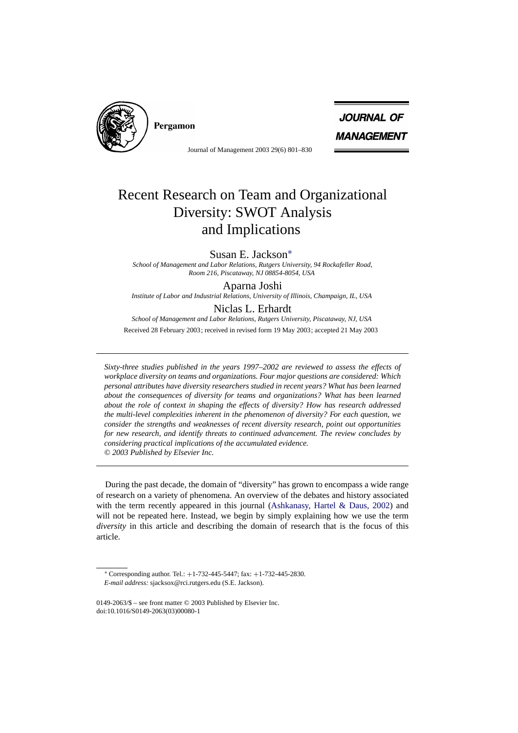

Pergamon

**JOURNAL OF MANAGEMENT** 

Journal of Management 2003 29(6) 801–830

# Recent Research on Team and Organizational Diversity: SWOT Analysis and Implications

# Susan E. Jackson∗

*School of Management and Labor Relations, Rutgers University, 94 Rockafeller Road, Room 216, Piscataway, NJ 08854-8054, USA*

# Aparna Joshi

*Institute of Labor and Industrial Relations, University of Illinois, Champaign, IL, USA*

# Niclas L. Erhardt

*School of Management and Labor Relations, Rutgers University, Piscataway, NJ, USA* Received 28 February 2003; received in revised form 19 May 2003; accepted 21 May 2003

*Sixty-three studies published in the years 1997–2002 are reviewed to assess the effects of workplace diversity on teams and organizations. Four major questions are considered: Which personal attributes have diversity researchers studied in recent years? What has been learned about the consequences of diversity for teams and organizations? What has been learned about the role of context in shaping the effects of diversity? How has research addressed the multi-level complexities inherent in the phenomenon of diversity? For each question, we consider the strengths and weaknesses of recent diversity research, point out opportunities for new research, and identify threats to continued advancement. The review concludes by considering practical implications of the accumulated evidence. © 2003 Published by Elsevier Inc.*

During the past decade, the domain of "diversity" has grown to encompass a wide range of research on a variety of phenomena. An overview of the debates and history associated with the term recently appeared in this journal [\(Ashkanasy, Hartel & Daus, 2002](#page-23-0)) and will not be repeated here. Instead, we begin by simply explaining how we use the term *diversity* in this article and describing the domain of research that is the focus of this article.

<sup>∗</sup> Corresponding author. Tel.: +1-732-445-5447; fax: +1-732-445-2830.

*E-mail address:* sjacksox@rci.rutgers.edu (S.E. Jackson).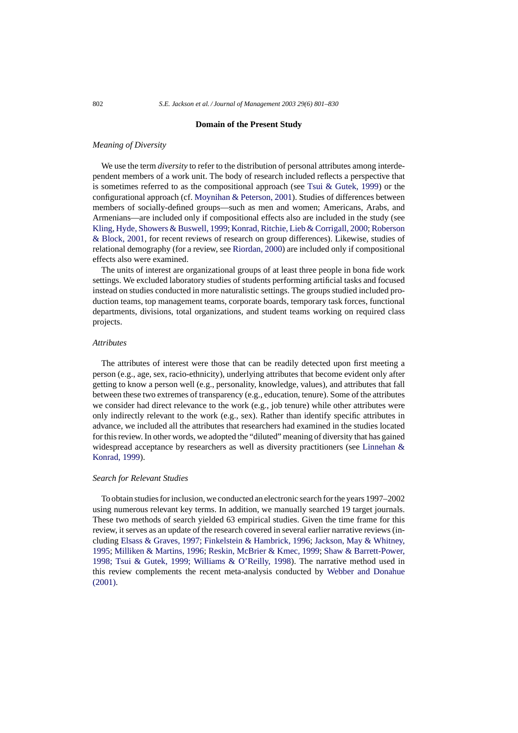# **Domain of the Present Study**

# *Meaning of Diversity*

We use the term *diversity* to refer to the distribution of personal attributes among interdependent members of a work unit. The body of research included reflects a perspective that is sometimes referred to as the compositional approach (see [Tsui & Gutek, 1999\)](#page-28-0) or the configurational approach (cf. [Moynihan & Peterson, 2001\).](#page-27-0) Studies of differences between members of socially-defined groups—such as men and women; Americans, Arabs, and Armenians—are included only if compositional effects also are included in the study (see [Kling, Hyde, Showers & Buswell, 1999;](#page-26-0) [Konrad, Ritchie, Lieb & Corrigall, 2000;](#page-26-0) [Roberson](#page-27-0) [& Block, 2001,](#page-27-0) for recent reviews of research on group differences). Likewise, studies of relational demography (for a review, see [Riordan, 2000\)](#page-27-0) are included only if compositional effects also were examined.

The units of interest are organizational groups of at least three people in bona fide work settings. We excluded laboratory studies of students performing artificial tasks and focused instead on studies conducted in more naturalistic settings. The groups studied included production teams, top management teams, corporate boards, temporary task forces, functional departments, divisions, total organizations, and student teams working on required class projects.

# *Attributes*

The attributes of interest were those that can be readily detected upon first meeting a person (e.g., age, sex, racio-ethnicity), underlying attributes that become evident only after getting to know a person well (e.g., personality, knowledge, values), and attributes that fall between these two extremes of transparency (e.g., education, tenure). Some of the attributes we consider had direct relevance to the work (e.g., job tenure) while other attributes were only indirectly relevant to the work (e.g., sex). Rather than identify specific attributes in advance, we included all the attributes that researchers had examined in the studies located for this review. In other words, we adopted the "diluted" meaning of diversity that has gained widespread acceptance by researchers as well as diversity practitioners (see [Linnehan &](#page-26-0) [Konrad, 1999\).](#page-26-0)

#### *Search for Relevant Studies*

To obtain studies for inclusion, we conducted an electronic search for the years 1997–2002 using numerous relevant key terms. In addition, we manually searched 19 target journals. These two methods of search yielded 63 empirical studies. Given the time frame for this review, it serves as an update of the research covered in several earlier narrative reviews (including [Elsass & Graves, 1997; Finkelstein & Hambrick, 1996;](#page-24-0) [Jackson, May & Whitney,](#page-26-0) [1995;](#page-26-0) [Milliken & Martins, 1996;](#page-27-0) [Reskin, McBrier & Kmec, 1999;](#page-27-0) [Shaw & Barrett-Power,](#page-28-0) [1998; Tsui & Gutek, 1999; Williams & O'Reilly, 1998](#page-28-0)). The narrative method used in this review complements the recent meta-analysis conducted by [Webber and Donahue](#page-28-0) [\(2001\).](#page-28-0)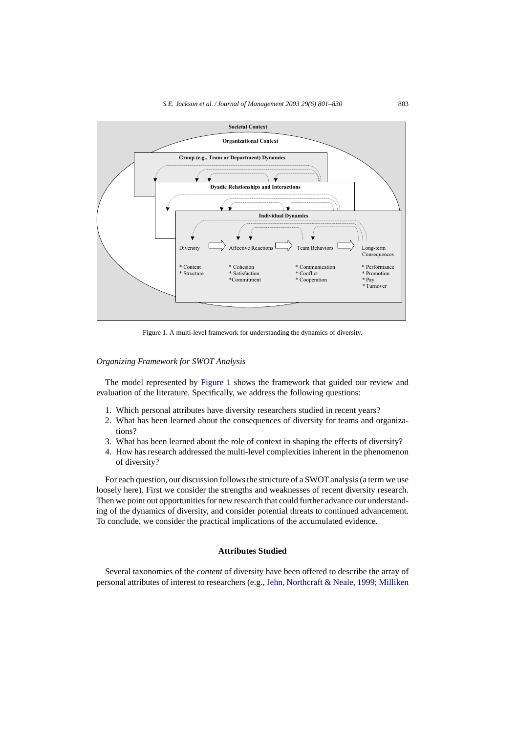<span id="page-2-0"></span>

Figure 1. A multi-level framework for understanding the dynamics of diversity.

# *Organizing Framework for SWOT Analysis*

The model represented by Figure 1 shows the framework that guided our review and evaluation of the literature. Specifically, we address the following questions:

- 1. Which personal attributes have diversity researchers studied in recent years?
- 2. What has been learned about the consequences of diversity for teams and organizations?
- 3. What has been learned about the role of context in shaping the effects of diversity?
- 4. How has research addressed the multi-level complexities inherent in the phenomenon of diversity?

For each question, our discussion follows the structure of a SWOT analysis (a term we use loosely here). First we consider the strengths and weaknesses of recent diversity research. Then we point out opportunities for new research that could further advance our understanding of the dynamics of diversity, and consider potential threats to continued advancement. To conclude, we consider the practical implications of the accumulated evidence.

# **Attributes Studied**

Several taxonomies of the *content* of diversity have been offered to describe the array of personal attributes of interest to researchers (e.g., [Jehn, Northcraft & Neale, 1999;](#page-26-0) [Milliken](#page-27-0)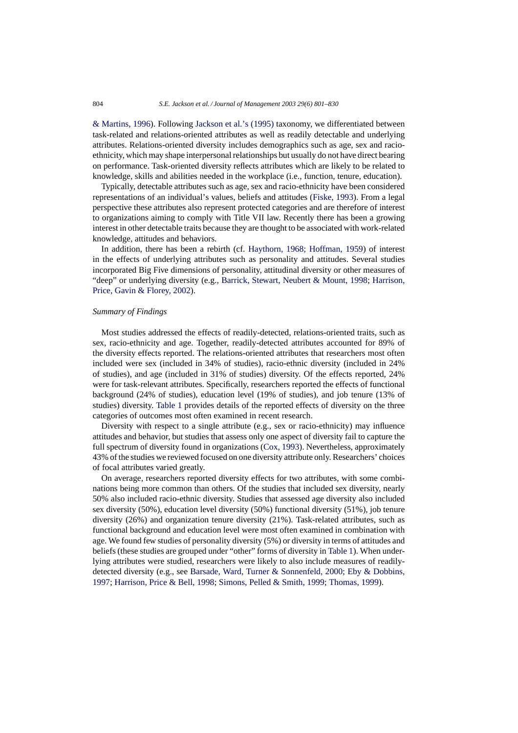[& Martins, 1996\).](#page-27-0) Following [Jackson et al.'s \(1995\)](#page-26-0) taxonomy, we differentiated between task-related and relations-oriented attributes as well as readily detectable and underlying attributes. Relations-oriented diversity includes demographics such as age, sex and racioethnicity, which may shape interpersonal relationships but usually do not have direct bearing on performance. Task-oriented diversity reflects attributes which are likely to be related to knowledge, skills and abilities needed in the workplace (i.e., function, tenure, education).

Typically, detectable attributes such as age, sex and racio-ethnicity have been considered representations of an individual's values, beliefs and attitudes [\(Fiske, 1993\).](#page-24-0) From a legal perspective these attributes also represent protected categories and are therefore of interest to organizations aiming to comply with Title VII law. Recently there has been a growing interest in other detectable traits because they are thought to be associated with work-related knowledge, attitudes and behaviors.

In addition, there has been a rebirth (cf. [Haythorn, 1968; Hoffman, 1959\)](#page-25-0) of interest in the effects of underlying attributes such as personality and attitudes. Several studies incorporated Big Five dimensions of personality, attitudinal diversity or other measures of "deep" or underlying diversity (e.g., [Barrick, Stewart, Neubert & Mount, 1998;](#page-23-0) [Harrison,](#page-25-0) [Price, Gavin & Florey, 2002\).](#page-25-0)

#### *Summary of Findings*

Most studies addressed the effects of readily-detected, relations-oriented traits, such as sex, racio-ethnicity and age. Together, readily-detected attributes accounted for 89% of the diversity effects reported. The relations-oriented attributes that researchers most often included were sex (included in 34% of studies), racio-ethnic diversity (included in 24% of studies), and age (included in 31% of studies) diversity. Of the effects reported, 24% were for task-relevant attributes. Specifically, researchers reported the effects of functional background (24% of studies), education level (19% of studies), and job tenure (13% of studies) diversity. [Table 1](#page-4-0) provides details of the reported effects of diversity on the three categories of outcomes most often examined in recent research.

Diversity with respect to a single attribute (e.g., sex or racio-ethnicity) may influence attitudes and behavior, but studies that assess only one aspect of diversity fail to capture the full spectrum of diversity found in organizations ([Cox, 1993\).](#page-24-0) Nevertheless, approximately 43% of the studies we reviewed focused on one diversity attribute only. Researchers' choices of focal attributes varied greatly.

On average, researchers reported diversity effects for two attributes, with some combinations being more common than others. Of the studies that included sex diversity, nearly 50% also included racio-ethnic diversity. Studies that assessed age diversity also included sex diversity (50%), education level diversity (50%) functional diversity (51%), job tenure diversity (26%) and organization tenure diversity (21%). Task-related attributes, such as functional background and education level were most often examined in combination with age. We found few studies of personality diversity (5%) or diversity in terms of attitudes and beliefs (these studies are grouped under "other" forms of diversity in [Table 1\).](#page-4-0) When underlying attributes were studied, researchers were likely to also include measures of readilydetected diversity (e.g., see [Barsade, Ward, Turner & Sonnenfeld, 2000;](#page-23-0) [Eby & Dobbins,](#page-24-0) [1997;](#page-24-0) [Harrison, Price & Bell, 1998;](#page-25-0) [Simons, Pelled & Smith, 1999;](#page-28-0) [Thomas, 1999\).](#page-28-0)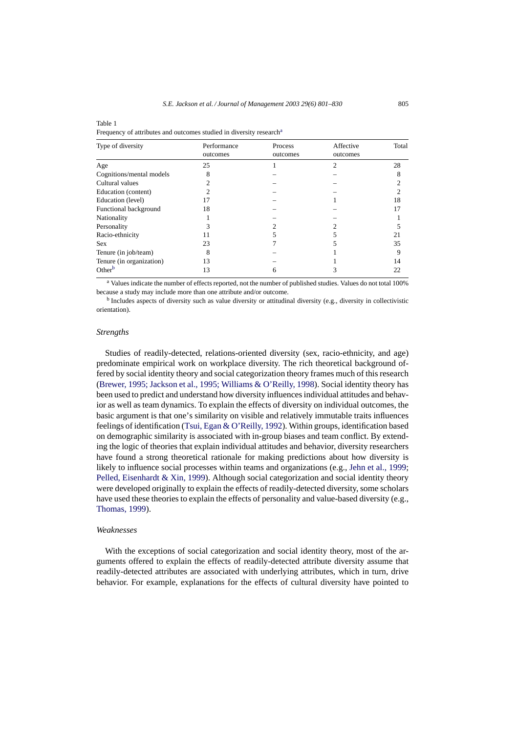| Type of diversity        | Performance<br>outcomes | Process<br>outcomes | Affective<br>outcomes | Total |
|--------------------------|-------------------------|---------------------|-----------------------|-------|
| Age                      | 25                      |                     | っ                     | 28    |
| Cognitions/mental models | 8                       |                     |                       | 8     |
| Cultural values          |                         |                     |                       |       |
| Education (content)      | 2                       |                     |                       |       |
| Education (level)        | 17                      |                     |                       | 18    |
| Functional background    | 18                      |                     |                       | 17    |
| Nationality              |                         |                     |                       |       |
| Personality              |                         |                     |                       |       |
| Racio-ethnicity          | 11                      |                     |                       | 21    |
| <b>Sex</b>               | 23                      |                     |                       | 35    |
| Tenure (in job/team)     | 8                       |                     |                       | 9     |
| Tenure (in organization) | 13                      |                     |                       | 14    |
| Other <sup>b</sup>       | 13                      | 6                   |                       | 22    |

<span id="page-4-0"></span>

| Table 1                                                                         |  |  |  |
|---------------------------------------------------------------------------------|--|--|--|
| Frequency of attributes and outcomes studied in diversity research <sup>a</sup> |  |  |  |

<sup>a</sup> Values indicate the number of effects reported, not the number of published studies. Values do not total 100% because a study may include more than one attribute and/or outcome.

 $\rm^b$  Includes aspects of diversity such as value diversity or attitudinal diversity (e.g., diversity in collectivistic orientation).

#### *Strengths*

Studies of readily-detected, relations-oriented diversity (sex, racio-ethnicity, and age) predominate empirical work on workplace diversity. The rich theoretical background offered by social identity theory and social categorization theory frames much of this research [\(Brewer, 1995; Jackson et al., 1995; Williams & O'Reilly, 1998\). S](#page-24-0)ocial identity theory has been used to predict and understand how diversity influences individual attitudes and behavior as well as team dynamics. To explain the effects of diversity on individual outcomes, the basic argument is that one's similarity on visible and relatively immutable traits influences feelings of identification ([Tsui, Egan & O'Reilly, 1992\). W](#page-28-0)ithin groups, identification based on demographic similarity is associated with in-group biases and team conflict. By extending the logic of theories that explain individual attitudes and behavior, diversity researchers have found a strong theoretical rationale for making predictions about how diversity is likely to influence social processes within teams and organizations (e.g., [Jehn et al., 1999;](#page-26-0) [Pelled, Eisenhardt & Xin, 1999\).](#page-27-0) Although social categorization and social identity theory were developed originally to explain the effects of readily-detected diversity, some scholars have used these theories to explain the effects of personality and value-based diversity (e.g., [Thomas, 1999\).](#page-28-0)

# *Weaknesses*

With the exceptions of social categorization and social identity theory, most of the arguments offered to explain the effects of readily-detected attribute diversity assume that readily-detected attributes are associated with underlying attributes, which in turn, drive behavior. For example, explanations for the effects of cultural diversity have pointed to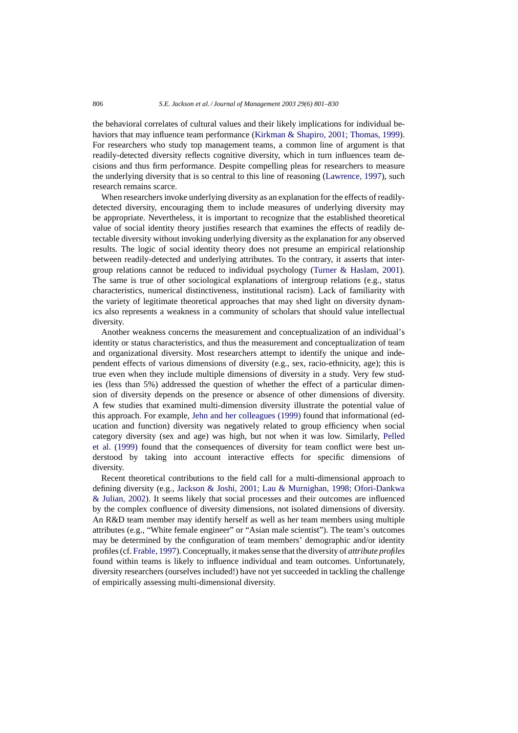the behavioral correlates of cultural values and their likely implications for individual behaviors that may influence team performance ([Kirkman & Shapiro, 2001; Thomas, 1999\).](#page-26-0) For researchers who study top management teams, a common line of argument is that readily-detected diversity reflects cognitive diversity, which in turn influences team decisions and thus firm performance. Despite compelling pleas for researchers to measure the underlying diversity that is so central to this line of reasoning [\(Lawrence, 1997\),](#page-26-0) such research remains scarce.

When researchers invoke underlying diversity as an explanation for the effects of readilydetected diversity, encouraging them to include measures of underlying diversity may be appropriate. Nevertheless, it is important to recognize that the established theoretical value of social identity theory justifies research that examines the effects of readily detectable diversity without invoking underlying diversity as the explanation for any observed results. The logic of social identity theory does not presume an empirical relationship between readily-detected and underlying attributes. To the contrary, it asserts that intergroup relations cannot be reduced to individual psychology [\(Turner & Haslam, 2001\)](#page-28-0). The same is true of other sociological explanations of intergroup relations (e.g., status characteristics, numerical distinctiveness, institutional racism). Lack of familiarity with the variety of legitimate theoretical approaches that may shed light on diversity dynamics also represents a weakness in a community of scholars that should value intellectual diversity.

Another weakness concerns the measurement and conceptualization of an individual's identity or status characteristics, and thus the measurement and conceptualization of team and organizational diversity. Most researchers attempt to identify the unique and independent effects of various dimensions of diversity (e.g., sex, racio-ethnicity, age); this is true even when they include multiple dimensions of diversity in a study. Very few studies (less than 5%) addressed the question of whether the effect of a particular dimension of diversity depends on the presence or absence of other dimensions of diversity. A few studies that examined multi-dimension diversity illustrate the potential value of this approach. For example, [Jehn and her colleagues \(1999\)](#page-26-0) found that informational (education and function) diversity was negatively related to group efficiency when social category diversity (sex and age) was high, but not when it was low. Similarly, [Pelled](#page-27-0) [et al. \(1999\)](#page-27-0) found that the consequences of diversity for team conflict were best understood by taking into account interactive effects for specific dimensions of diversity.

Recent theoretical contributions to the field call for a multi-dimensional approach to defining diversity (e.g., [Jackson & Joshi, 2001; Lau & Murnighan, 1998; Ofori-Dankwa](#page-25-0) [& Julian, 2002\)](#page-25-0). It seems likely that social processes and their outcomes are influenced by the complex confluence of diversity dimensions, not isolated dimensions of diversity. An R&D team member may identify herself as well as her team members using multiple attributes (e.g., "White female engineer" or "Asian male scientist"). The team's outcomes may be determined by the configuration of team members' demographic and/or identity profiles (cf. [Frable, 1997\).](#page-24-0) Conceptually, it makes sense that the diversity of *attribute profiles* found within teams is likely to influence individual and team outcomes. Unfortunately, diversity researchers (ourselves included!) have not yet succeeded in tackling the challenge of empirically assessing multi-dimensional diversity.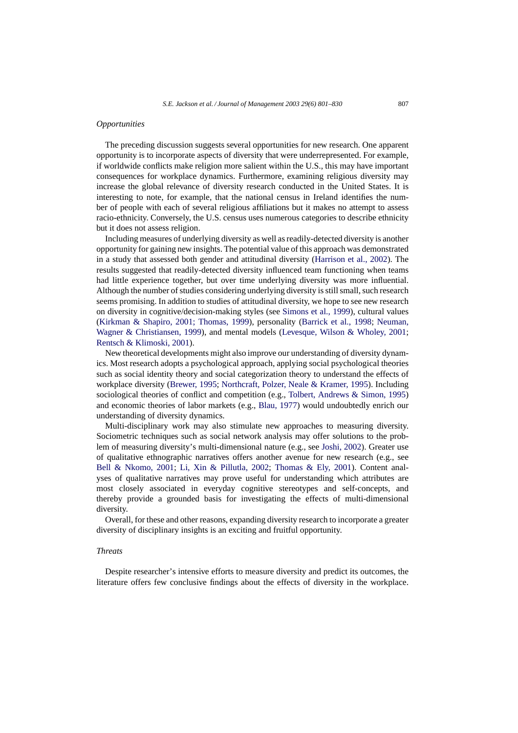# *Opportunities*

The preceding discussion suggests several opportunities for new research. One apparent opportunity is to incorporate aspects of diversity that were underrepresented. For example, if worldwide conflicts make religion more salient within the U.S., this may have important consequences for workplace dynamics. Furthermore, examining religious diversity may increase the global relevance of diversity research conducted in the United States. It is interesting to note, for example, that the national census in Ireland identifies the number of people with each of several religious affiliations but it makes no attempt to assess racio-ethnicity. Conversely, the U.S. census uses numerous categories to describe ethnicity but it does not assess religion.

Including measures of underlying diversity as well as readily-detected diversity is another opportunity for gaining new insights. The potential value of this approach was demonstrated in a study that assessed both gender and attitudinal diversity ([Harrison et al., 2002\)](#page-25-0). The results suggested that readily-detected diversity influenced team functioning when teams had little experience together, but over time underlying diversity was more influential. Although the number of studies considering underlying diversity is still small, such research seems promising. In addition to studies of attitudinal diversity, we hope to see new research on diversity in cognitive/decision-making styles (see [Simons et al., 1999\),](#page-28-0) cultural values [\(Kirkman & Shapiro, 2001; Thomas, 1999](#page-26-0)), personality ([Barrick et al., 1998;](#page-23-0) [Neuman,](#page-27-0) [Wagner & Christiansen, 1999\)](#page-27-0), and mental models ([Levesque, Wilson & Wholey, 2001;](#page-26-0) [Rentsch & Klimoski, 2001\).](#page-27-0)

New theoretical developments might also improve our understanding of diversity dynamics. Most research adopts a psychological approach, applying social psychological theories such as social identity theory and social categorization theory to understand the effects of workplace diversity [\(Brewer, 1995;](#page-24-0) [Northcraft, Polzer, Neale & Kramer, 1995\).](#page-27-0) Including sociological theories of conflict and competition (e.g., [Tolbert, Andrews & Simon, 1995\)](#page-28-0) and economic theories of labor markets (e.g., [Blau, 1977\)](#page-23-0) would undoubtedly enrich our understanding of diversity dynamics.

Multi-disciplinary work may also stimulate new approaches to measuring diversity. Sociometric techniques such as social network analysis may offer solutions to the problem of measuring diversity's multi-dimensional nature (e.g., see [Joshi, 2002\).](#page-26-0) Greater use of qualitative ethnographic narratives offers another avenue for new research (e.g., see [Bell & Nkomo, 2001;](#page-23-0) [Li, Xin & Pillutla, 2002](#page-26-0); [Thomas & Ely, 2001\)](#page-28-0). Content analyses of qualitative narratives may prove useful for understanding which attributes are most closely associated in everyday cognitive stereotypes and self-concepts, and thereby provide a grounded basis for investigating the effects of multi-dimensional diversity.

Overall, for these and other reasons, expanding diversity research to incorporate a greater diversity of disciplinary insights is an exciting and fruitful opportunity.

#### *Threats*

Despite researcher's intensive efforts to measure diversity and predict its outcomes, the literature offers few conclusive findings about the effects of diversity in the workplace.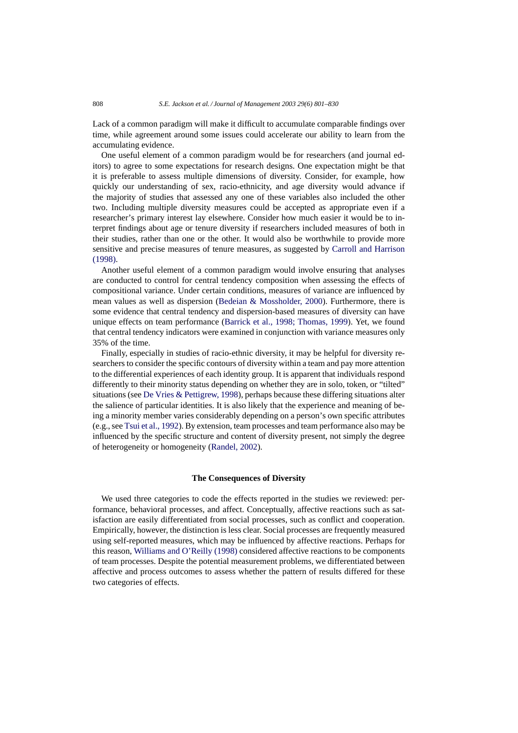Lack of a common paradigm will make it difficult to accumulate comparable findings over time, while agreement around some issues could accelerate our ability to learn from the accumulating evidence.

One useful element of a common paradigm would be for researchers (and journal editors) to agree to some expectations for research designs. One expectation might be that it is preferable to assess multiple dimensions of diversity. Consider, for example, how quickly our understanding of sex, racio-ethnicity, and age diversity would advance if the majority of studies that assessed any one of these variables also included the other two. Including multiple diversity measures could be accepted as appropriate even if a researcher's primary interest lay elsewhere. Consider how much easier it would be to interpret findings about age or tenure diversity if researchers included measures of both in their studies, rather than one or the other. It would also be worthwhile to provide more sensitive and precise measures of tenure measures, as suggested by [Carroll and Harrison](#page-24-0) [\(1998\).](#page-24-0)

Another useful element of a common paradigm would involve ensuring that analyses are conducted to control for central tendency composition when assessing the effects of compositional variance. Under certain conditions, measures of variance are influenced by mean values as well as dispersion [\(Bedeian & Mossholder, 2000\)](#page-23-0). Furthermore, there is some evidence that central tendency and dispersion-based measures of diversity can have unique effects on team performance ([Barrick et al., 1998; Thomas, 1999\)](#page-23-0). Yet, we found that central tendency indicators were examined in conjunction with variance measures only 35% of the time.

Finally, especially in studies of racio-ethnic diversity, it may be helpful for diversity researchers to consider the specific contours of diversity within a team and pay more attention to the differential experiences of each identity group. It is apparent that individuals respond differently to their minority status depending on whether they are in solo, token, or "tilted" situations (see [De Vries & Pettigrew, 1998\),](#page-24-0) perhaps because these differing situations alter the salience of particular identities. It is also likely that the experience and meaning of being a minority member varies considerably depending on a person's own specific attributes (e.g., see [Tsui et al., 1992\).](#page-28-0) By extension, team processes and team performance also may be influenced by the specific structure and content of diversity present, not simply the degree of heterogeneity or homogeneity ([Randel, 2002\).](#page-27-0)

# **The Consequences of Diversity**

We used three categories to code the effects reported in the studies we reviewed: performance, behavioral processes, and affect. Conceptually, affective reactions such as satisfaction are easily differentiated from social processes, such as conflict and cooperation. Empirically, however, the distinction is less clear. Social processes are frequently measured using self-reported measures, which may be influenced by affective reactions. Perhaps for this reason, [Williams and O'Reilly \(1998\)](#page-28-0) considered affective reactions to be components of team processes. Despite the potential measurement problems, we differentiated between affective and process outcomes to assess whether the pattern of results differed for these two categories of effects.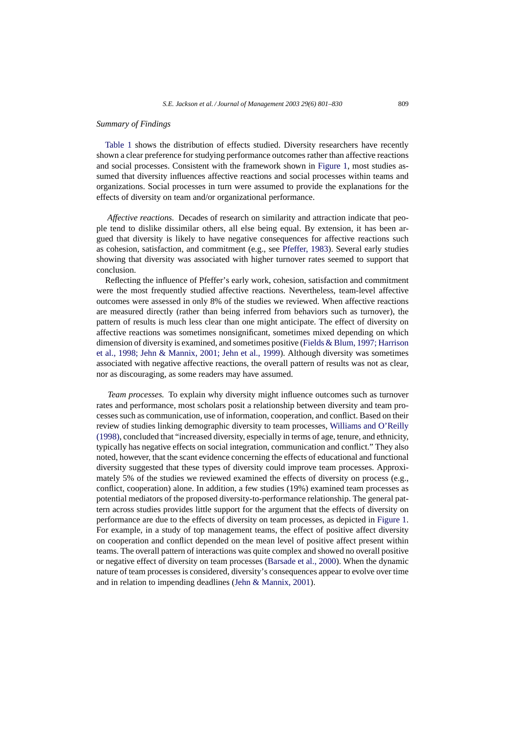#### *Summary of Findings*

[Table 1](#page-4-0) shows the distribution of effects studied. Diversity researchers have recently shown a clear preference for studying performance outcomes rather than affective reactions and social processes. Consistent with the framework shown in [Figure 1,](#page-2-0) most studies assumed that diversity influences affective reactions and social processes within teams and organizations. Social processes in turn were assumed to provide the explanations for the effects of diversity on team and/or organizational performance.

*Affective reactions.* Decades of research on similarity and attraction indicate that people tend to dislike dissimilar others, all else being equal. By extension, it has been argued that diversity is likely to have negative consequences for affective reactions such as cohesion, satisfaction, and commitment (e.g., see [Pfeffer, 1983\).](#page-27-0) Several early studies showing that diversity was associated with higher turnover rates seemed to support that conclusion.

Reflecting the influence of Pfeffer's early work, cohesion, satisfaction and commitment were the most frequently studied affective reactions. Nevertheless, team-level affective outcomes were assessed in only 8% of the studies we reviewed. When affective reactions are measured directly (rather than being inferred from behaviors such as turnover), the pattern of results is much less clear than one might anticipate. The effect of diversity on affective reactions was sometimes nonsignificant, sometimes mixed depending on which dimension of diversity is examined, and sometimes positive [\(Fields & Blum, 1997; Harrison](#page-24-0) [et al., 1998; Jehn & Mannix, 2001; Jehn et al., 1999\)](#page-24-0). Although diversity was sometimes associated with negative affective reactions, the overall pattern of results was not as clear, nor as discouraging, as some readers may have assumed.

*Team processes.* To explain why diversity might influence outcomes such as turnover rates and performance, most scholars posit a relationship between diversity and team processes such as communication, use of information, cooperation, and conflict. Based on their review of studies linking demographic diversity to team processes, [Williams and O'Reilly](#page-28-0) [\(1998\), c](#page-28-0)oncluded that "increased diversity, especially in terms of age, tenure, and ethnicity, typically has negative effects on social integration, communication and conflict." They also noted, however, that the scant evidence concerning the effects of educational and functional diversity suggested that these types of diversity could improve team processes. Approximately 5% of the studies we reviewed examined the effects of diversity on process (e.g., conflict, cooperation) alone. In addition, a few studies (19%) examined team processes as potential mediators of the proposed diversity-to-performance relationship. The general pattern across studies provides little support for the argument that the effects of diversity on performance are due to the effects of diversity on team processes, as depicted in [Figure 1.](#page-2-0) For example, in a study of top management teams, the effect of positive affect diversity on cooperation and conflict depended on the mean level of positive affect present within teams. The overall pattern of interactions was quite complex and showed no overall positive or negative effect of diversity on team processes ([Barsade et al., 2000\).](#page-23-0) When the dynamic nature of team processes is considered, diversity's consequences appear to evolve over time and in relation to impending deadlines ([Jehn & Mannix, 2001\).](#page-26-0)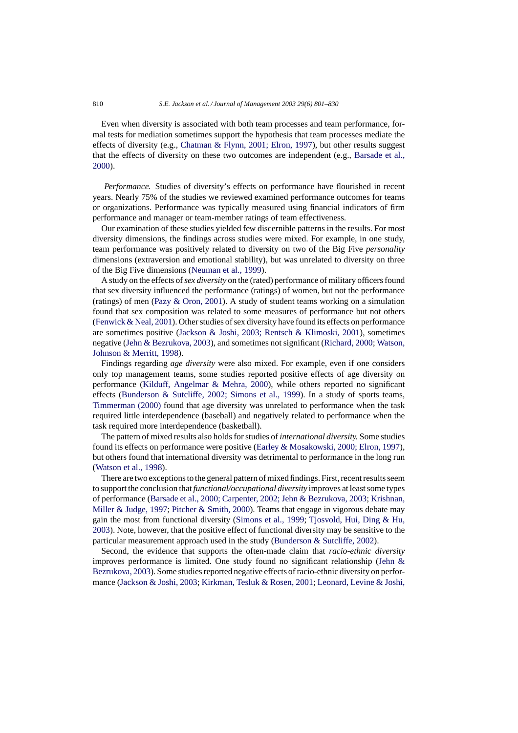Even when diversity is associated with both team processes and team performance, formal tests for mediation sometimes support the hypothesis that team processes mediate the effects of diversity (e.g., [Chatman & Flynn, 2001; Elron, 1997\)](#page-24-0), but other results suggest that the effects of diversity on these two outcomes are independent (e.g., [Barsade et al.,](#page-23-0) [2000\).](#page-23-0)

*Performance.* Studies of diversity's effects on performance have flourished in recent years. Nearly 75% of the studies we reviewed examined performance outcomes for teams or organizations. Performance was typically measured using financial indicators of firm performance and manager or team-member ratings of team effectiveness.

Our examination of these studies yielded few discernible patterns in the results. For most diversity dimensions, the findings across studies were mixed. For example, in one study, team performance was positively related to diversity on two of the Big Five *personality* dimensions (extraversion and emotional stability), but was unrelated to diversity on three of the Big Five dimensions ([Neuman et al., 1999\).](#page-27-0)

A study on the effects of*sex diversity* on the (rated) performance of military officers found that sex diversity influenced the performance (ratings) of women, but not the performance (ratings) of men [\(Pazy & Oron, 2001\).](#page-27-0) A study of student teams working on a simulation found that sex composition was related to some measures of performance but not others ([Fenwick & Neal, 2001\). O](#page-24-0)ther studies of sex diversity have found its effects on performance are sometimes positive ([Jackson & Joshi, 2003; Rentsch & Klimoski, 2001](#page-25-0)), sometimes negative ([Jehn & Bezrukova, 2003\),](#page-26-0) and sometimes not significant [\(Richard, 2000;](#page-27-0) [Watson,](#page-28-0) [Johnson & Merritt, 1998\).](#page-28-0)

Findings regarding *age diversity* were also mixed. For example, even if one considers only top management teams, some studies reported positive effects of age diversity on performance [\(Kilduff, Angelmar & Mehra, 2000](#page-26-0)), while others reported no significant effects ([Bunderson & Sutcliffe, 2002; Simons et al., 1999](#page-24-0)). In a study of sports teams, [Timmerman \(2000\)](#page-28-0) found that age diversity was unrelated to performance when the task required little interdependence (baseball) and negatively related to performance when the task required more interdependence (basketball).

The pattern of mixed results also holds for studies of *international diversity.* Some studies found its effects on performance were positive ([Earley & Mosakowski, 2000; Elron, 1997\),](#page-24-0) but others found that international diversity was detrimental to performance in the long run ([Watson et al., 1998\).](#page-28-0)

There are two exceptions to the general pattern of mixed findings. First, recent results seem to support the conclusion that *functional/occupational diversity* improves at least some types of performance ([Barsade et al., 2000; Carpenter, 2002; Jehn & Bezrukova, 2003;](#page-23-0) [Krishnan,](#page-26-0) [Miller & Judge, 1997;](#page-26-0) [Pitcher & Smith, 2000\).](#page-27-0) Teams that engage in vigorous debate may gain the most from functional diversity [\(Simons et al., 1999;](#page-28-0) [Tjosvold, Hui, Ding & Hu,](#page-28-0) [2003\).](#page-28-0) Note, however, that the positive effect of functional diversity may be sensitive to the particular measurement approach used in the study ([Bunderson & Sutcliffe, 2002\).](#page-24-0)

Second, the evidence that supports the often-made claim that *racio-ethnic diversity* improves performance is limited. One study found no significant relationship ([Jehn &](#page-26-0) [Bezrukova, 2003\).](#page-26-0) Some studies reported negative effects of racio-ethnic diversity on performance ([Jackson & Joshi, 2003;](#page-25-0) [Kirkman, Tesluk & Rosen, 2001;](#page-26-0) [Leonard, Levine & Joshi,](#page-26-0)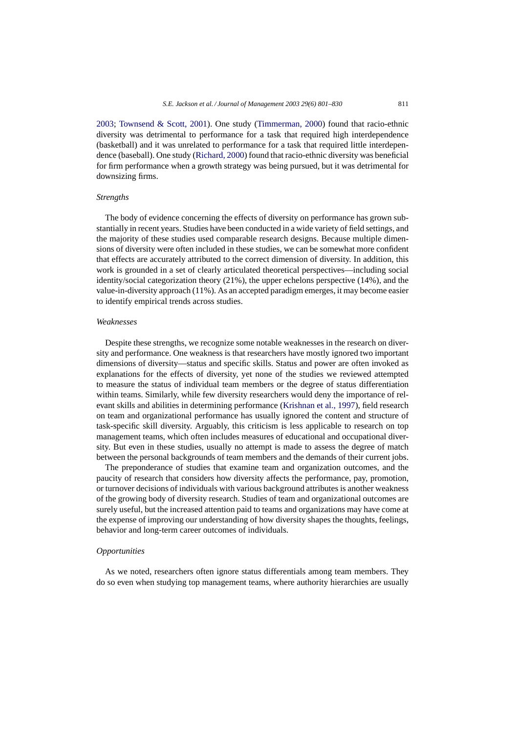[2003;](#page-26-0) [Townsend & Scott, 2001\)](#page-28-0). One study ([Timmerman, 2000\)](#page-28-0) found that racio-ethnic diversity was detrimental to performance for a task that required high interdependence (basketball) and it was unrelated to performance for a task that required little interdependence (baseball). One study ([Richard, 2000\) f](#page-27-0)ound that racio-ethnic diversity was beneficial for firm performance when a growth strategy was being pursued, but it was detrimental for downsizing firms.

#### *Strengths*

The body of evidence concerning the effects of diversity on performance has grown substantially in recent years. Studies have been conducted in a wide variety of field settings, and the majority of these studies used comparable research designs. Because multiple dimensions of diversity were often included in these studies, we can be somewhat more confident that effects are accurately attributed to the correct dimension of diversity. In addition, this work is grounded in a set of clearly articulated theoretical perspectives—including social identity/social categorization theory (21%), the upper echelons perspective (14%), and the value-in-diversity approach (11%). As an accepted paradigm emerges, it may become easier to identify empirical trends across studies.

#### *Weaknesses*

Despite these strengths, we recognize some notable weaknesses in the research on diversity and performance. One weakness is that researchers have mostly ignored two important dimensions of diversity—status and specific skills. Status and power are often invoked as explanations for the effects of diversity, yet none of the studies we reviewed attempted to measure the status of individual team members or the degree of status differentiation within teams. Similarly, while few diversity researchers would deny the importance of relevant skills and abilities in determining performance [\(Krishnan et al., 1997\),](#page-26-0) field research on team and organizational performance has usually ignored the content and structure of task-specific skill diversity. Arguably, this criticism is less applicable to research on top management teams, which often includes measures of educational and occupational diversity. But even in these studies, usually no attempt is made to assess the degree of match between the personal backgrounds of team members and the demands of their current jobs.

The preponderance of studies that examine team and organization outcomes, and the paucity of research that considers how diversity affects the performance, pay, promotion, or turnover decisions of individuals with various background attributes is another weakness of the growing body of diversity research. Studies of team and organizational outcomes are surely useful, but the increased attention paid to teams and organizations may have come at the expense of improving our understanding of how diversity shapes the thoughts, feelings, behavior and long-term career outcomes of individuals.

#### *Opportunities*

As we noted, researchers often ignore status differentials among team members. They do so even when studying top management teams, where authority hierarchies are usually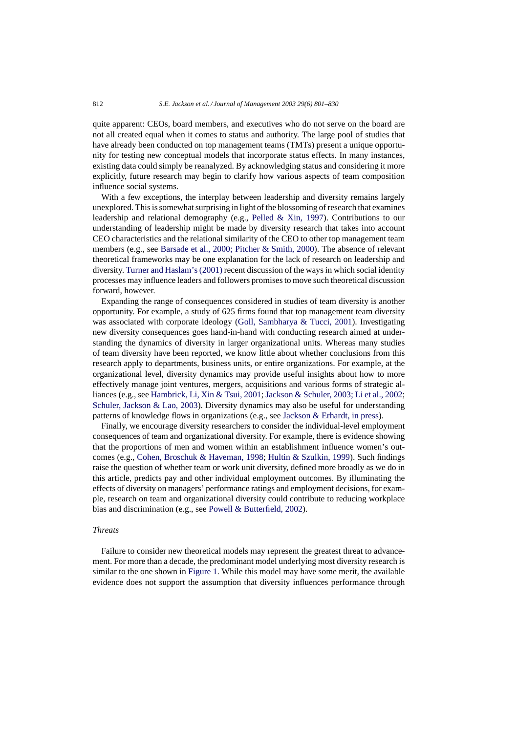quite apparent: CEOs, board members, and executives who do not serve on the board are not all created equal when it comes to status and authority. The large pool of studies that have already been conducted on top management teams (TMTs) present a unique opportunity for testing new conceptual models that incorporate status effects. In many instances, existing data could simply be reanalyzed. By acknowledging status and considering it more explicitly, future research may begin to clarify how various aspects of team composition influence social systems.

With a few exceptions, the interplay between leadership and diversity remains largely unexplored. This is somewhat surprising in light of the blossoming of research that examines leadership and relational demography (e.g., [Pelled & Xin, 1997\)](#page-27-0). Contributions to our understanding of leadership might be made by diversity research that takes into account CEO characteristics and the relational similarity of the CEO to other top management team members (e.g., see [Barsade et al., 2000; Pitcher & Smith, 2000\)](#page-23-0). The absence of relevant theoretical frameworks may be one explanation for the lack of research on leadership and diversity. [Turner and Haslam's \(2001\)](#page-28-0) recent discussion of the ways in which social identity processes may influence leaders and followers promises to move such theoretical discussion forward, however.

Expanding the range of consequences considered in studies of team diversity is another opportunity. For example, a study of 625 firms found that top management team diversity was associated with corporate ideology [\(Goll, Sambharya & Tucci, 2001\)](#page-25-0). Investigating new diversity consequences goes hand-in-hand with conducting research aimed at understanding the dynamics of diversity in larger organizational units. Whereas many studies of team diversity have been reported, we know little about whether conclusions from this research apply to departments, business units, or entire organizations. For example, at the organizational level, diversity dynamics may provide useful insights about how to more effectively manage joint ventures, mergers, acquisitions and various forms of strategic alliances (e.g., see [Hambrick, Li, Xin & Tsui, 2001;](#page-25-0) [Jackson & Schuler, 2003; Li et al., 2002;](#page-25-0) [Schuler, Jackson & Lao, 2003\).](#page-28-0) Diversity dynamics may also be useful for understanding patterns of knowledge flows in organizations (e.g., see [Jackson & Erhardt, in press\).](#page-25-0)

Finally, we encourage diversity researchers to consider the individual-level employment consequences of team and organizational diversity. For example, there is evidence showing that the proportions of men and women within an establishment influence women's outcomes (e.g., [Cohen, Broschuk & Haveman, 1998;](#page-24-0) [Hultin & Szulkin, 1999\).](#page-25-0) Such findings raise the question of whether team or work unit diversity, defined more broadly as we do in this article, predicts pay and other individual employment outcomes. By illuminating the effects of diversity on managers' performance ratings and employment decisions, for example, research on team and organizational diversity could contribute to reducing workplace bias and discrimination (e.g., see [Powell & Butterfield, 2002\).](#page-27-0)

#### *Threats*

Failure to consider new theoretical models may represent the greatest threat to advancement. For more than a decade, the predominant model underlying most diversity research is similar to the one shown in [Figure 1. W](#page-2-0)hile this model may have some merit, the available evidence does not support the assumption that diversity influences performance through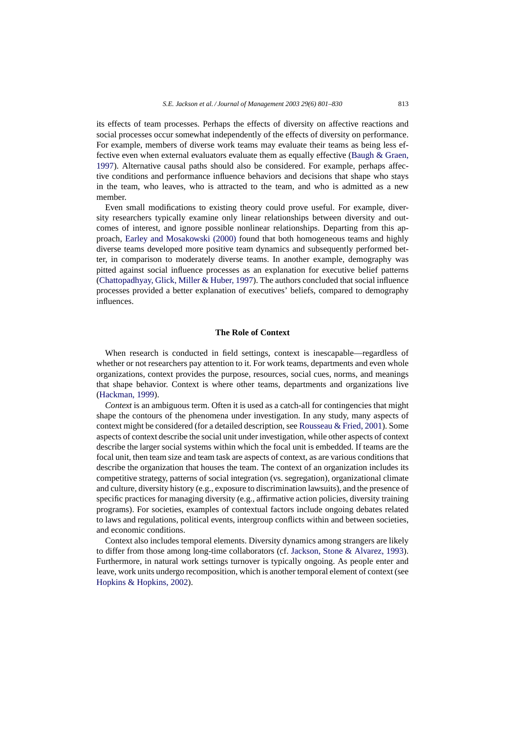its effects of team processes. Perhaps the effects of diversity on affective reactions and social processes occur somewhat independently of the effects of diversity on performance. For example, members of diverse work teams may evaluate their teams as being less effective even when external evaluators evaluate them as equally effective ([Baugh & Graen,](#page-23-0) [1997\).](#page-23-0) Alternative causal paths should also be considered. For example, perhaps affective conditions and performance influence behaviors and decisions that shape who stays in the team, who leaves, who is attracted to the team, and who is admitted as a new member.

Even small modifications to existing theory could prove useful. For example, diversity researchers typically examine only linear relationships between diversity and outcomes of interest, and ignore possible nonlinear relationships. Departing from this approach, [Earley and Mosakowski \(2000\)](#page-24-0) found that both homogeneous teams and highly diverse teams developed more positive team dynamics and subsequently performed better, in comparison to moderately diverse teams. In another example, demography was pitted against social influence processes as an explanation for executive belief patterns [\(Chattopadhyay, Glick, Miller & Huber, 1997\).](#page-24-0) The authors concluded that social influence processes provided a better explanation of executives' beliefs, compared to demography influences.

#### **The Role of Context**

When research is conducted in field settings, context is inescapable—regardless of whether or not researchers pay attention to it. For work teams, departments and even whole organizations, context provides the purpose, resources, social cues, norms, and meanings that shape behavior. Context is where other teams, departments and organizations live [\(Hackman, 1999\).](#page-25-0)

*Context* is an ambiguous term. Often it is used as a catch-all for contingencies that might shape the contours of the phenomena under investigation. In any study, many aspects of context might be considered (for a detailed description, see [Rousseau & Fried, 2001\).](#page-27-0) Some aspects of context describe the social unit under investigation, while other aspects of context describe the larger social systems within which the focal unit is embedded. If teams are the focal unit, then team size and team task are aspects of context, as are various conditions that describe the organization that houses the team. The context of an organization includes its competitive strategy, patterns of social integration (vs. segregation), organizational climate and culture, diversity history (e.g., exposure to discrimination lawsuits), and the presence of specific practices for managing diversity (e.g., affirmative action policies, diversity training programs). For societies, examples of contextual factors include ongoing debates related to laws and regulations, political events, intergroup conflicts within and between societies, and economic conditions.

Context also includes temporal elements. Diversity dynamics among strangers are likely to differ from those among long-time collaborators (cf. [Jackson, Stone & Alvarez, 1993\).](#page-25-0) Furthermore, in natural work settings turnover is typically ongoing. As people enter and leave, work units undergo recomposition, which is another temporal element of context (see [Hopkins & Hopkins, 2002\).](#page-25-0)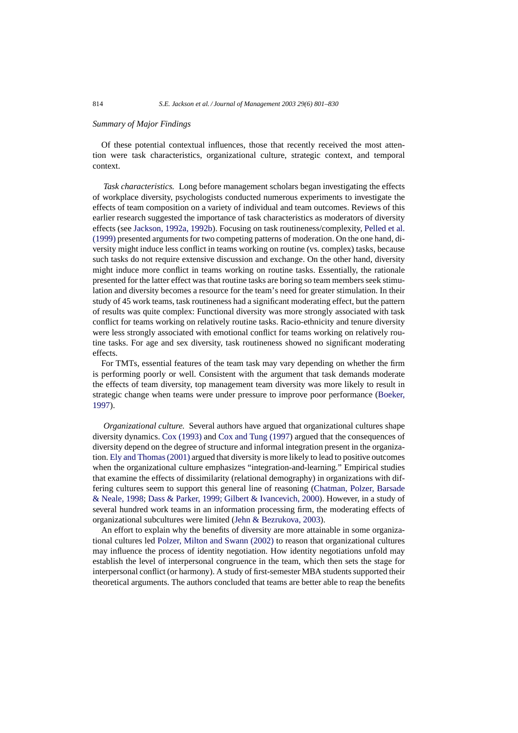# *Summary of Major Findings*

Of these potential contextual influences, those that recently received the most attention were task characteristics, organizational culture, strategic context, and temporal context.

*Task characteristics.* Long before management scholars began investigating the effects of workplace diversity, psychologists conducted numerous experiments to investigate the effects of team composition on a variety of individual and team outcomes. Reviews of this earlier research suggested the importance of task characteristics as moderators of diversity effects (see [Jackson, 1992a, 1992b\).](#page-25-0) Focusing on task routineness/complexity, [Pelled et al.](#page-27-0) [\(1999\)](#page-27-0) presented arguments for two competing patterns of moderation. On the one hand, diversity might induce less conflict in teams working on routine (vs. complex) tasks, because such tasks do not require extensive discussion and exchange. On the other hand, diversity might induce more conflict in teams working on routine tasks. Essentially, the rationale presented for the latter effect was that routine tasks are boring so team members seek stimulation and diversity becomes a resource for the team's need for greater stimulation. In their study of 45 work teams, task routineness had a significant moderating effect, but the pattern of results was quite complex: Functional diversity was more strongly associated with task conflict for teams working on relatively routine tasks. Racio-ethnicity and tenure diversity were less strongly associated with emotional conflict for teams working on relatively routine tasks. For age and sex diversity, task routineness showed no significant moderating effects.

For TMTs, essential features of the team task may vary depending on whether the firm is performing poorly or well. Consistent with the argument that task demands moderate the effects of team diversity, top management team diversity was more likely to result in strategic change when teams were under pressure to improve poor performance [\(Boeker,](#page-23-0) [1997\).](#page-23-0)

*Organizational culture.* Several authors have argued that organizational cultures shape diversity dynamics. [Cox \(1993\)](#page-24-0) and [Cox and Tung \(1997\)](#page-24-0) argued that the consequences of diversity depend on the degree of structure and informal integration present in the organization. [Ely and Thomas \(2001\)](#page-24-0) argued that diversity is more likely to lead to positive outcomes when the organizational culture emphasizes "integration-and-learning." Empirical studies that examine the effects of dissimilarity (relational demography) in organizations with differing cultures seem to support this general line of reasoning ([Chatman, Polzer, Barsade](#page-24-0) [& Neale, 1998;](#page-24-0) [Dass & Parker, 1999; Gilbert & Ivancevich, 2000\).](#page-24-0) However, in a study of several hundred work teams in an information processing firm, the moderating effects of organizational subcultures were limited [\(Jehn & Bezrukova, 2003\).](#page-26-0)

An effort to explain why the benefits of diversity are more attainable in some organizational cultures led [Polzer, Milton and Swann \(2002\)](#page-27-0) to reason that organizational cultures may influence the process of identity negotiation. How identity negotiations unfold may establish the level of interpersonal congruence in the team, which then sets the stage for interpersonal conflict (or harmony). A study of first-semester MBA students supported their theoretical arguments. The authors concluded that teams are better able to reap the benefits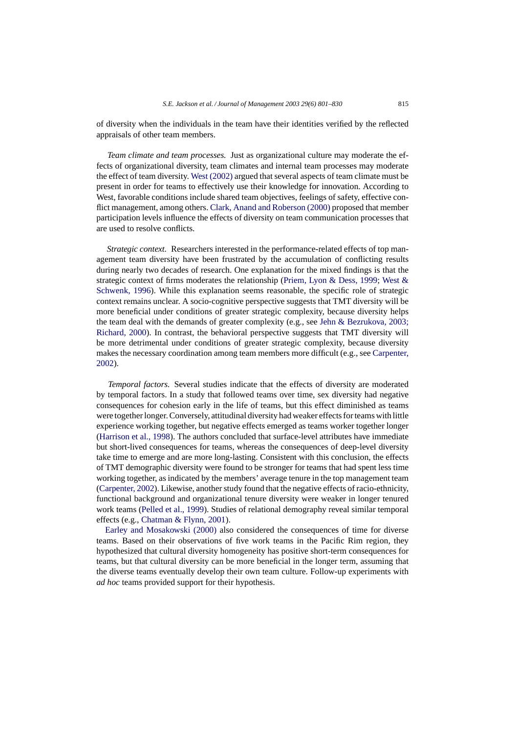of diversity when the individuals in the team have their identities verified by the reflected appraisals of other team members.

*Team climate and team processes.* Just as organizational culture may moderate the effects of organizational diversity, team climates and internal team processes may moderate the effect of team diversity. [West \(2002\)](#page-28-0) argued that several aspects of team climate must be present in order for teams to effectively use their knowledge for innovation. According to West, favorable conditions include shared team objectives, feelings of safety, effective conflict management, among others. [Clark, Anand and Roberson \(2000\)](#page-24-0) proposed that member participation levels influence the effects of diversity on team communication processes that are used to resolve conflicts.

*Strategic context.* Researchers interested in the performance-related effects of top management team diversity have been frustrated by the accumulation of conflicting results during nearly two decades of research. One explanation for the mixed findings is that the strategic context of firms moderates the relationship ([Priem, Lyon & Dess, 1999;](#page-27-0) [West &](#page-28-0) [Schwenk, 1996\).](#page-28-0) While this explanation seems reasonable, the specific role of strategic context remains unclear. A socio-cognitive perspective suggests that TMT diversity will be more beneficial under conditions of greater strategic complexity, because diversity helps the team deal with the demands of greater complexity (e.g., see [Jehn & Bezrukova, 2003;](#page-26-0) [Richard, 2000\).](#page-26-0) In contrast, the behavioral perspective suggests that TMT diversity will be more detrimental under conditions of greater strategic complexity, because diversity makes the necessary coordination among team members more difficult (e.g., see [Carpenter,](#page-24-0) [2002\).](#page-24-0)

*Temporal factors.* Several studies indicate that the effects of diversity are moderated by temporal factors. In a study that followed teams over time, sex diversity had negative consequences for cohesion early in the life of teams, but this effect diminished as teams were together longer. Conversely, attitudinal diversity had weaker effects for teams with little experience working together, but negative effects emerged as teams worker together longer [\(Harrison et al., 1998\).](#page-25-0) The authors concluded that surface-level attributes have immediate but short-lived consequences for teams, whereas the consequences of deep-level diversity take time to emerge and are more long-lasting. Consistent with this conclusion, the effects of TMT demographic diversity were found to be stronger for teams that had spent less time working together, as indicated by the members' average tenure in the top management team [\(Carpenter, 2002\).](#page-24-0) Likewise, another study found that the negative effects of racio-ethnicity, functional background and organizational tenure diversity were weaker in longer tenured work teams ([Pelled et al., 1999\).](#page-27-0) Studies of relational demography reveal similar temporal effects (e.g., [Chatman & Flynn, 2001\).](#page-24-0)

[Earley and Mosakowski \(2000\)](#page-24-0) also considered the consequences of time for diverse teams. Based on their observations of five work teams in the Pacific Rim region, they hypothesized that cultural diversity homogeneity has positive short-term consequences for teams, but that cultural diversity can be more beneficial in the longer term, assuming that the diverse teams eventually develop their own team culture. Follow-up experiments with *ad hoc* teams provided support for their hypothesis.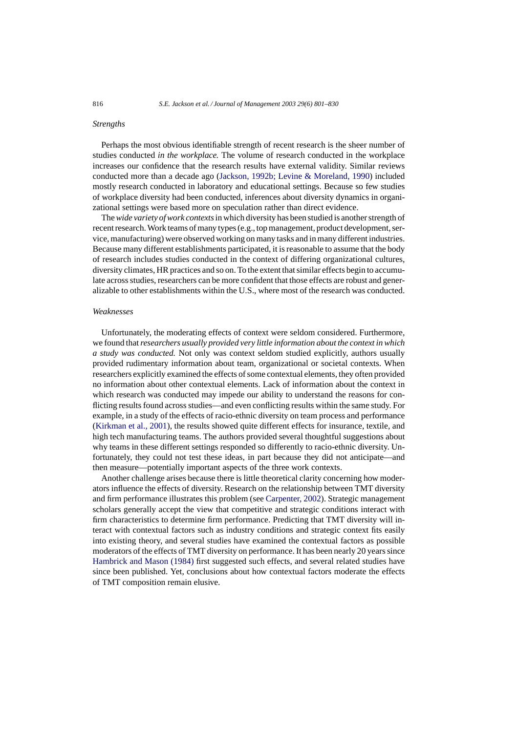#### *Strengths*

Perhaps the most obvious identifiable strength of recent research is the sheer number of studies conducted *in the workplace.* The volume of research conducted in the workplace increases our confidence that the research results have external validity. Similar reviews conducted more than a decade ago [\(Jackson, 1992b; Levine & Moreland, 1990\)](#page-25-0) included mostly research conducted in laboratory and educational settings. Because so few studies of workplace diversity had been conducted, inferences about diversity dynamics in organizational settings were based more on speculation rather than direct evidence.

The*wide variety of work contexts*in which diversity has been studied is another strength of recent research. Work teams of many types (e.g., top management, product development, service, manufacturing) were observed working on many tasks and in many different industries. Because many different establishments participated, it is reasonable to assume that the body of research includes studies conducted in the context of differing organizational cultures, diversity climates, HR practices and so on. To the extent that similar effects begin to accumulate across studies, researchers can be more confident that those effects are robust and generalizable to other establishments within the U.S., where most of the research was conducted.

# *Weaknesses*

Unfortunately, the moderating effects of context were seldom considered. Furthermore, we found that*researchers usually provided very little information about the context in which a study was conducted.* Not only was context seldom studied explicitly, authors usually provided rudimentary information about team, organizational or societal contexts. When researchers explicitly examined the effects of some contextual elements, they often provided no information about other contextual elements. Lack of information about the context in which research was conducted may impede our ability to understand the reasons for conflicting results found across studies—and even conflicting results within the same study. For example, in a study of the effects of racio-ethnic diversity on team process and performance ([Kirkman et al., 2001\),](#page-26-0) the results showed quite different effects for insurance, textile, and high tech manufacturing teams. The authors provided several thoughtful suggestions about why teams in these different settings responded so differently to racio-ethnic diversity. Unfortunately, they could not test these ideas, in part because they did not anticipate—and then measure—potentially important aspects of the three work contexts.

Another challenge arises because there is little theoretical clarity concerning how moderators influence the effects of diversity. Research on the relationship between TMT diversity and firm performance illustrates this problem (see [Carpenter, 2002\).](#page-24-0) Strategic management scholars generally accept the view that competitive and strategic conditions interact with firm characteristics to determine firm performance. Predicting that TMT diversity will interact with contextual factors such as industry conditions and strategic context fits easily into existing theory, and several studies have examined the contextual factors as possible moderators of the effects of TMT diversity on performance. It has been nearly 20 years since [Hambrick and Mason \(1984\)](#page-25-0) first suggested such effects, and several related studies have since been published. Yet, conclusions about how contextual factors moderate the effects of TMT composition remain elusive.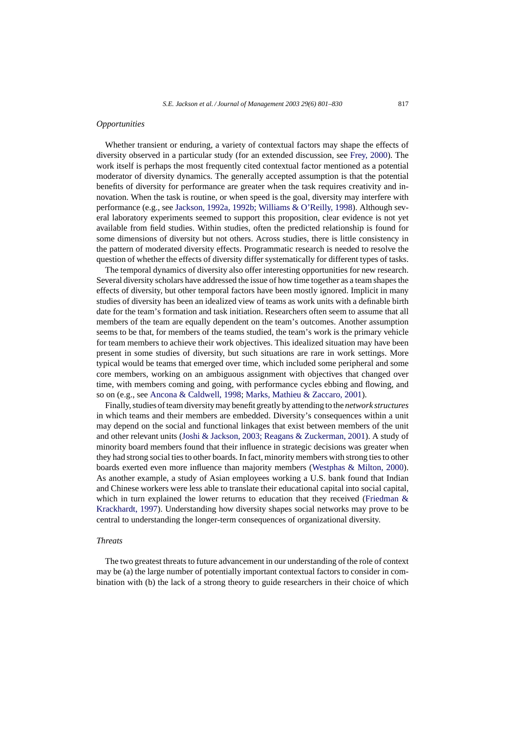#### *Opportunities*

Whether transient or enduring, a variety of contextual factors may shape the effects of diversity observed in a particular study (for an extended discussion, see [Frey, 2000\).](#page-24-0) The work itself is perhaps the most frequently cited contextual factor mentioned as a potential moderator of diversity dynamics. The generally accepted assumption is that the potential benefits of diversity for performance are greater when the task requires creativity and innovation. When the task is routine, or when speed is the goal, diversity may interfere with performance (e.g., see [Jackson, 1992a, 1992b; Williams & O'Reilly, 1998\).](#page-25-0) Although several laboratory experiments seemed to support this proposition, clear evidence is not yet available from field studies. Within studies, often the predicted relationship is found for some dimensions of diversity but not others. Across studies, there is little consistency in the pattern of moderated diversity effects. Programmatic research is needed to resolve the question of whether the effects of diversity differ systematically for different types of tasks.

The temporal dynamics of diversity also offer interesting opportunities for new research. Several diversity scholars have addressed the issue of how time together as a team shapes the effects of diversity, but other temporal factors have been mostly ignored. Implicit in many studies of diversity has been an idealized view of teams as work units with a definable birth date for the team's formation and task initiation. Researchers often seem to assume that all members of the team are equally dependent on the team's outcomes. Another assumption seems to be that, for members of the teams studied, the team's work is the primary vehicle for team members to achieve their work objectives. This idealized situation may have been present in some studies of diversity, but such situations are rare in work settings. More typical would be teams that emerged over time, which included some peripheral and some core members, working on an ambiguous assignment with objectives that changed over time, with members coming and going, with performance cycles ebbing and flowing, and so on (e.g., see [Ancona & Caldwell, 1998;](#page-23-0) [Marks, Mathieu & Zaccaro, 2001\).](#page-27-0)

Finally, studies of team diversity may benefit greatly by attending to the *network structures* in which teams and their members are embedded. Diversity's consequences within a unit may depend on the social and functional linkages that exist between members of the unit and other relevant units [\(Joshi & Jackson, 2003; Reagans & Zuckerman, 2001\).](#page-26-0) A study of minority board members found that their influence in strategic decisions was greater when they had strong social ties to other boards. In fact, minority members with strong ties to other boards exerted even more influence than majority members ([Westphas & Milton, 2000\)](#page-28-0). As another example, a study of Asian employees working a U.S. bank found that Indian and Chinese workers were less able to translate their educational capital into social capital, which in turn explained the lower returns to education that they received (Friedman  $\&$ [Krackhardt, 1997\).](#page-25-0) Understanding how diversity shapes social networks may prove to be central to understanding the longer-term consequences of organizational diversity.

#### *Threats*

The two greatest threats to future advancement in our understanding of the role of context may be (a) the large number of potentially important contextual factors to consider in combination with (b) the lack of a strong theory to guide researchers in their choice of which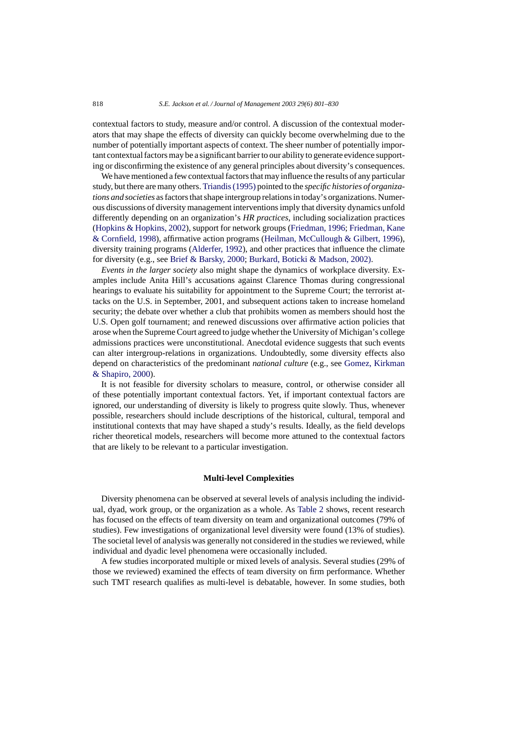contextual factors to study, measure and/or control. A discussion of the contextual moderators that may shape the effects of diversity can quickly become overwhelming due to the number of potentially important aspects of context. The sheer number of potentially important contextual factors may be a significant barrier to our ability to generate evidence supporting or disconfirming the existence of any general principles about diversity's consequences.

We have mentioned a few contextual factors that may influence the results of any particular study, but there are many others. [Triandis \(1995\)](#page-28-0) pointed to the *specific histories of organizations and societies* as factors that shape intergroup relations in today's organizations. Numerous discussions of diversity management interventions imply that diversity dynamics unfold differently depending on an organization's *HR practices*, including socialization practices ([Hopkins & Hopkins, 2002\),](#page-25-0) support for network groups ([Friedman, 1996;](#page-25-0) [Friedman, Kane](#page-25-0) [& Cornfield, 1998\),](#page-25-0) affirmative action programs ([Heilman, McCullough & Gilbert, 1996\),](#page-25-0) diversity training programs [\(Alderfer, 1992\),](#page-23-0) and other practices that influence the climate for diversity (e.g., see [Brief & Barsky, 2000;](#page-24-0) [Burkard, Boticki & Madson, 2002\).](#page-24-0)

*Events in the larger society* also might shape the dynamics of workplace diversity. Examples include Anita Hill's accusations against Clarence Thomas during congressional hearings to evaluate his suitability for appointment to the Supreme Court; the terrorist attacks on the U.S. in September, 2001, and subsequent actions taken to increase homeland security; the debate over whether a club that prohibits women as members should host the U.S. Open golf tournament; and renewed discussions over affirmative action policies that arose when the Supreme Court agreed to judge whether the University of Michigan's college admissions practices were unconstitutional. Anecdotal evidence suggests that such events can alter intergroup-relations in organizations. Undoubtedly, some diversity effects also depend on characteristics of the predominant *national culture* (e.g., see [Gomez, Kirkman](#page-25-0) [& Shapiro, 2000\).](#page-25-0)

It is not feasible for diversity scholars to measure, control, or otherwise consider all of these potentially important contextual factors. Yet, if important contextual factors are ignored, our understanding of diversity is likely to progress quite slowly. Thus, whenever possible, researchers should include descriptions of the historical, cultural, temporal and institutional contexts that may have shaped a study's results. Ideally, as the field develops richer theoretical models, researchers will become more attuned to the contextual factors that are likely to be relevant to a particular investigation.

#### **Multi-level Complexities**

Diversity phenomena can be observed at several levels of analysis including the individual, dyad, work group, or the organization as a whole. As [Table 2](#page-18-0) shows, recent research has focused on the effects of team diversity on team and organizational outcomes (79% of studies). Few investigations of organizational level diversity were found (13% of studies). The societal level of analysis was generally not considered in the studies we reviewed, while individual and dyadic level phenomena were occasionally included.

A few studies incorporated multiple or mixed levels of analysis. Several studies (29% of those we reviewed) examined the effects of team diversity on firm performance. Whether such TMT research qualifies as multi-level is debatable, however. In some studies, both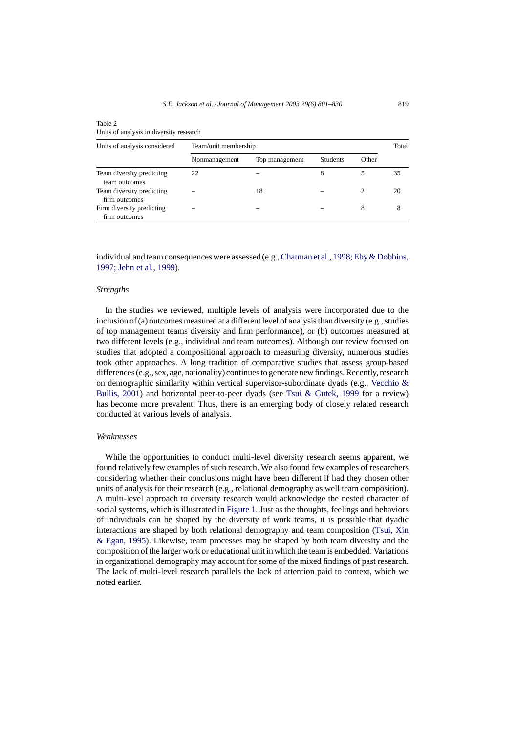| Units of analysis considered               | Team/unit membership |                |                 |       | Total |
|--------------------------------------------|----------------------|----------------|-----------------|-------|-------|
|                                            | Nonmanagement        | Top management | <b>Students</b> | Other |       |
| Team diversity predicting<br>team outcomes | 22                   |                | 8               |       | 35    |
| Team diversity predicting<br>firm outcomes |                      | 18             |                 |       | 20    |
| Firm diversity predicting<br>firm outcomes |                      |                |                 | 8     | 8     |

<span id="page-18-0"></span>

| Table 2                                 |  |
|-----------------------------------------|--|
| Units of analysis in diversity research |  |

individual and team consequences were assessed (e.g., [Chatman et al., 1998; Eby & Dobbins,](#page-24-0) [1997; Jehn et al., 1999\).](#page-24-0)

#### *Strengths*

In the studies we reviewed, multiple levels of analysis were incorporated due to the inclusion of (a) outcomes measured at a different level of analysis than diversity (e.g., studies of top management teams diversity and firm performance), or (b) outcomes measured at two different levels (e.g., individual and team outcomes). Although our review focused on studies that adopted a compositional approach to measuring diversity, numerous studies took other approaches. A long tradition of comparative studies that assess group-based differences (e.g., sex, age, nationality) continues to generate new findings. Recently, research on demographic similarity within vertical supervisor-subordinate dyads (e.g., [Vecchio &](#page-28-0) [Bullis, 2001\)](#page-28-0) and horizontal peer-to-peer dyads (see [Tsui & Gutek, 1999](#page-28-0) for a review) has become more prevalent. Thus, there is an emerging body of closely related research conducted at various levels of analysis.

#### *Weaknesses*

While the opportunities to conduct multi-level diversity research seems apparent, we found relatively few examples of such research. We also found few examples of researchers considering whether their conclusions might have been different if had they chosen other units of analysis for their research (e.g., relational demography as well team composition). A multi-level approach to diversity research would acknowledge the nested character of social systems, which is illustrated in [Figure 1. J](#page-2-0)ust as the thoughts, feelings and behaviors of individuals can be shaped by the diversity of work teams, it is possible that dyadic interactions are shaped by both relational demography and team composition [\(Tsui, Xin](#page-28-0) [& Egan, 1995\).](#page-28-0) Likewise, team processes may be shaped by both team diversity and the composition of the larger work or educational unit in which the team is embedded. Variations in organizational demography may account for some of the mixed findings of past research. The lack of multi-level research parallels the lack of attention paid to context, which we noted earlier.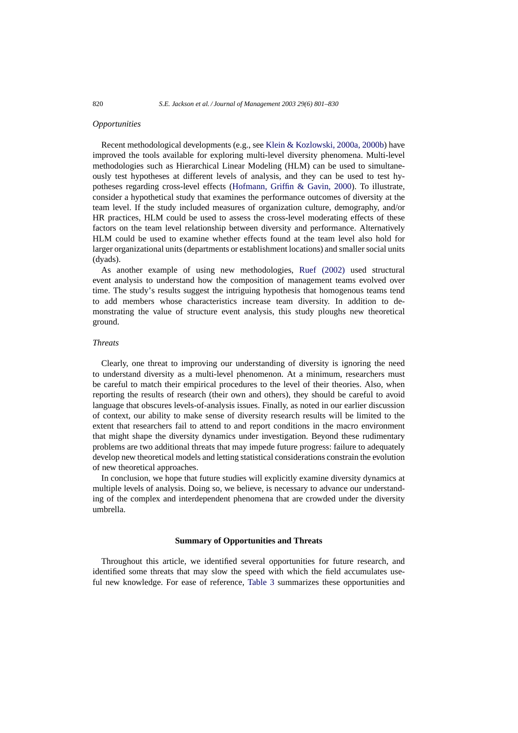# *Opportunities*

Recent methodological developments (e.g., see [Klein & Kozlowski, 2000a, 2000b\) h](#page-26-0)ave improved the tools available for exploring multi-level diversity phenomena. Multi-level methodologies such as Hierarchical Linear Modeling (HLM) can be used to simultaneously test hypotheses at different levels of analysis, and they can be used to test hypotheses regarding cross-level effects ([Hofmann, Griffin & Gavin, 2000](#page-25-0)). To illustrate, consider a hypothetical study that examines the performance outcomes of diversity at the team level. If the study included measures of organization culture, demography, and/or HR practices, HLM could be used to assess the cross-level moderating effects of these factors on the team level relationship between diversity and performance. Alternatively HLM could be used to examine whether effects found at the team level also hold for larger organizational units (departments or establishment locations) and smaller social units (dyads).

As another example of using new methodologies, [Ruef \(2002\)](#page-27-0) used structural event analysis to understand how the composition of management teams evolved over time. The study's results suggest the intriguing hypothesis that homogenous teams tend to add members whose characteristics increase team diversity. In addition to demonstrating the value of structure event analysis, this study ploughs new theoretical ground.

# *Threats*

Clearly, one threat to improving our understanding of diversity is ignoring the need to understand diversity as a multi-level phenomenon. At a minimum, researchers must be careful to match their empirical procedures to the level of their theories. Also, when reporting the results of research (their own and others), they should be careful to avoid language that obscures levels-of-analysis issues. Finally, as noted in our earlier discussion of context, our ability to make sense of diversity research results will be limited to the extent that researchers fail to attend to and report conditions in the macro environment that might shape the diversity dynamics under investigation. Beyond these rudimentary problems are two additional threats that may impede future progress: failure to adequately develop new theoretical models and letting statistical considerations constrain the evolution of new theoretical approaches.

In conclusion, we hope that future studies will explicitly examine diversity dynamics at multiple levels of analysis. Doing so, we believe, is necessary to advance our understanding of the complex and interdependent phenomena that are crowded under the diversity umbrella.

#### **Summary of Opportunities and Threats**

Throughout this article, we identified several opportunities for future research, and identified some threats that may slow the speed with which the field accumulates useful new knowledge. For ease of reference, [Table 3](#page-20-0) summarizes these opportunities and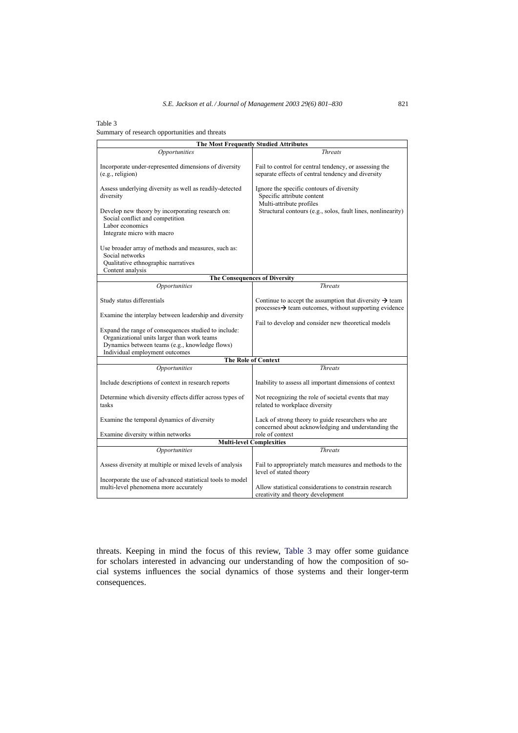#### <span id="page-20-0"></span>Table 3

Summary of research opportunities and threats

| <b>The Most Frequently Studied Attributes</b>                                                                 |                                                                                                              |  |  |
|---------------------------------------------------------------------------------------------------------------|--------------------------------------------------------------------------------------------------------------|--|--|
| Opportunities                                                                                                 | <b>Threats</b>                                                                                               |  |  |
| Incorporate under-represented dimensions of diversity<br>$(e.g.,$ religion $)$                                | Fail to control for central tendency, or assessing the<br>separate effects of central tendency and diversity |  |  |
| Assess underlying diversity as well as readily-detected<br>diversity                                          | Ignore the specific contours of diversity<br>Specific attribute content<br>Multi-attribute profiles          |  |  |
| Develop new theory by incorporating research on:<br>Social conflict and competition<br>Labor economics        | Structural contours (e.g., solos, fault lines, nonlinearity)                                                 |  |  |
| Integrate micro with macro                                                                                    |                                                                                                              |  |  |
| Use broader array of methods and measures, such as:<br>Social networks<br>Qualitative ethnographic narratives |                                                                                                              |  |  |
| Content analysis                                                                                              |                                                                                                              |  |  |
|                                                                                                               | <b>The Consequences of Diversity</b>                                                                         |  |  |
| <i><b>Opportunities</b></i>                                                                                   | <b>Threats</b>                                                                                               |  |  |
| Study status differentials                                                                                    | Continue to accept the assumption that diversity $\rightarrow$ team                                          |  |  |
|                                                                                                               | $processes \rightarrow team outcomes$ , without supporting evidence                                          |  |  |
| Examine the interplay between leadership and diversity                                                        | Fail to develop and consider new theoretical models                                                          |  |  |
| Expand the range of consequences studied to include:                                                          |                                                                                                              |  |  |
| Organizational units larger than work teams                                                                   |                                                                                                              |  |  |
| Dynamics between teams (e.g., knowledge flows)<br>Individual employment outcomes                              |                                                                                                              |  |  |
| <b>The Role of Context</b>                                                                                    |                                                                                                              |  |  |
| Opportunities                                                                                                 | <b>Threats</b>                                                                                               |  |  |
| Include descriptions of context in research reports                                                           | Inability to assess all important dimensions of context                                                      |  |  |
| Determine which diversity effects differ across types of<br>tasks                                             | Not recognizing the role of societal events that may<br>related to workplace diversity                       |  |  |
| Examine the temporal dynamics of diversity                                                                    | Lack of strong theory to guide researchers who are<br>concerned about acknowledging and understanding the    |  |  |
| Examine diversity within networks                                                                             | role of context                                                                                              |  |  |
| <b>Multi-level Complexities</b>                                                                               |                                                                                                              |  |  |
| Opportunities                                                                                                 | <b>Threats</b>                                                                                               |  |  |
| Assess diversity at multiple or mixed levels of analysis                                                      | Fail to appropriately match measures and methods to the<br>level of stated theory                            |  |  |
| Incorporate the use of advanced statistical tools to model                                                    |                                                                                                              |  |  |
| multi-level phenomena more accurately                                                                         | Allow statistical considerations to constrain research<br>creativity and theory development                  |  |  |

threats. Keeping in mind the focus of this review, Table 3 may offer some guidance for scholars interested in advancing our understanding of how the composition of social systems influences the social dynamics of those systems and their longer-term consequences.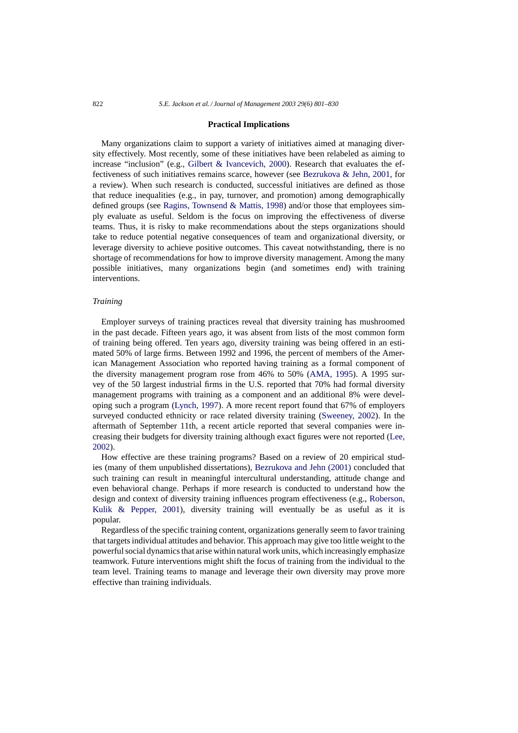# **Practical Implications**

Many organizations claim to support a variety of initiatives aimed at managing diversity effectively. Most recently, some of these initiatives have been relabeled as aiming to increase "inclusion" (e.g., [Gilbert & Ivancevich, 2000\)](#page-25-0). Research that evaluates the effectiveness of such initiatives remains scarce, however (see [Bezrukova & Jehn, 2001,](#page-23-0) for a review). When such research is conducted, successful initiatives are defined as those that reduce inequalities (e.g., in pay, turnover, and promotion) among demographically defined groups (see [Ragins, Townsend & Mattis, 1998\)](#page-27-0) and/or those that employees simply evaluate as useful. Seldom is the focus on improving the effectiveness of diverse teams. Thus, it is risky to make recommendations about the steps organizations should take to reduce potential negative consequences of team and organizational diversity, or leverage diversity to achieve positive outcomes. This caveat notwithstanding, there is no shortage of recommendations for how to improve diversity management. Among the many possible initiatives, many organizations begin (and sometimes end) with training interventions.

# *Training*

Employer surveys of training practices reveal that diversity training has mushroomed in the past decade. Fifteen years ago, it was absent from lists of the most common form of training being offered. Ten years ago, diversity training was being offered in an estimated 50% of large firms. Between 1992 and 1996, the percent of members of the American Management Association who reported having training as a formal component of the diversity management program rose from 46% to 50% ([AMA, 1995\).](#page-23-0) A 1995 survey of the 50 largest industrial firms in the U.S. reported that 70% had formal diversity management programs with training as a component and an additional 8% were developing such a program ([Lynch, 1997\).](#page-26-0) A more recent report found that 67% of employers surveyed conducted ethnicity or race related diversity training ([Sweeney, 2002\).](#page-28-0) In the aftermath of September 11th, a recent article reported that several companies were increasing their budgets for diversity training although exact figures were not reported ([Lee,](#page-26-0) [2002\).](#page-26-0)

How effective are these training programs? Based on a review of 20 empirical studies (many of them unpublished dissertations), [Bezrukova and Jehn \(2001\)](#page-23-0) concluded that such training can result in meaningful intercultural understanding, attitude change and even behavioral change. Perhaps if more research is conducted to understand how the design and context of diversity training influences program effectiveness (e.g., [Roberson,](#page-27-0) [Kulik & Pepper, 200](#page-27-0)1), diversity training will eventually be as useful as it is popular.

Regardless of the specific training content, organizations generally seem to favor training that targets individual attitudes and behavior. This approach may give too little weight to the powerful social dynamics that arise within natural work units, which increasingly emphasize teamwork. Future interventions might shift the focus of training from the individual to the team level. Training teams to manage and leverage their own diversity may prove more effective than training individuals.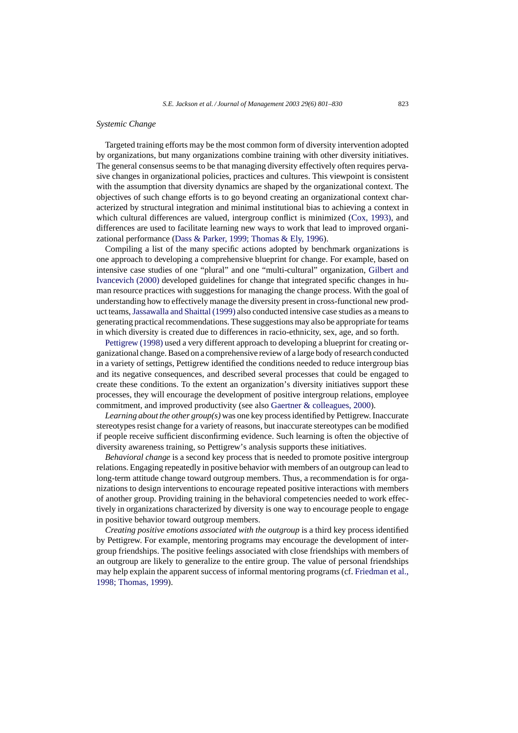#### *Systemic Change*

Targeted training efforts may be the most common form of diversity intervention adopted by organizations, but many organizations combine training with other diversity initiatives. The general consensus seems to be that managing diversity effectively often requires pervasive changes in organizational policies, practices and cultures. This viewpoint is consistent with the assumption that diversity dynamics are shaped by the organizational context. The objectives of such change efforts is to go beyond creating an organizational context characterized by structural integration and minimal institutional bias to achieving a context in which cultural differences are valued, intergroup conflict is minimized ([Cox, 1993\),](#page-24-0) and differences are used to facilitate learning new ways to work that lead to improved organizational performance ([Dass & Parker, 1999; Thomas & Ely, 1996\).](#page-24-0)

Compiling a list of the many specific actions adopted by benchmark organizations is one approach to developing a comprehensive blueprint for change. For example, based on intensive case studies of one "plural" and one "multi-cultural" organization, [Gilbert and](#page-25-0) [Ivancevich \(2000\)](#page-25-0) developed guidelines for change that integrated specific changes in human resource practices with suggestions for managing the change process. With the goal of understanding how to effectively manage the diversity present in cross-functional new product teams,[Jassawalla and Shaittal \(1999\)](#page-26-0) also conducted intensive case studies as a means to generating practical recommendations. These suggestions may also be appropriate for teams in which diversity is created due to differences in racio-ethnicity, sex, age, and so forth.

[Pettigrew \(1998\)](#page-27-0) used a very different approach to developing a blueprint for creating organizational change. Based on a comprehensive review of a large body of research conducted in a variety of settings, Pettigrew identified the conditions needed to reduce intergroup bias and its negative consequences, and described several processes that could be engaged to create these conditions. To the extent an organization's diversity initiatives support these processes, they will encourage the development of positive intergroup relations, employee commitment, and improved productivity (see also [Gaertner & colleagues, 2000\).](#page-25-0)

*Learning about the other group(s)* was one key process identified by Pettigrew. Inaccurate stereotypes resist change for a variety of reasons, but inaccurate stereotypes can be modified if people receive sufficient disconfirming evidence. Such learning is often the objective of diversity awareness training, so Pettigrew's analysis supports these initiatives.

*Behavioral change* is a second key process that is needed to promote positive intergroup relations. Engaging repeatedly in positive behavior with members of an outgroup can lead to long-term attitude change toward outgroup members. Thus, a recommendation is for organizations to design interventions to encourage repeated positive interactions with members of another group. Providing training in the behavioral competencies needed to work effectively in organizations characterized by diversity is one way to encourage people to engage in positive behavior toward outgroup members.

*Creating positive emotions associated with the outgroup* is a third key process identified by Pettigrew. For example, mentoring programs may encourage the development of intergroup friendships. The positive feelings associated with close friendships with members of an outgroup are likely to generalize to the entire group. The value of personal friendships may help explain the apparent success of informal mentoring programs (cf. [Friedman et al.,](#page-25-0) [1998; Thomas, 1999\).](#page-25-0)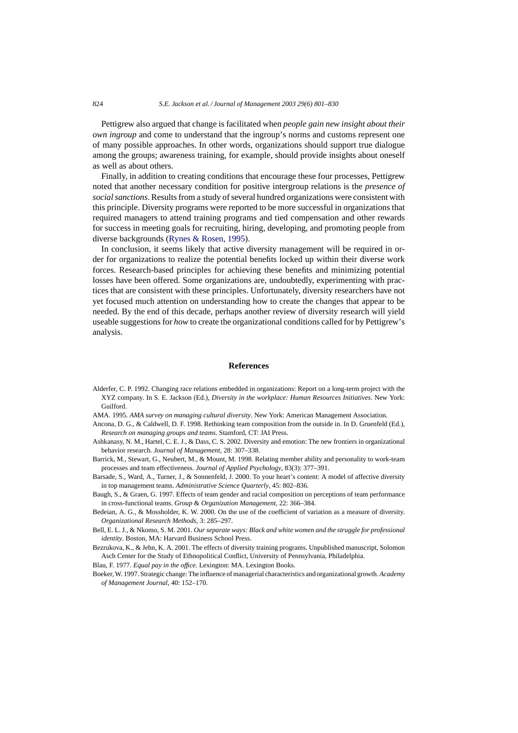<span id="page-23-0"></span>Pettigrew also argued that change is facilitated when *people gain new insight about their own ingroup* and come to understand that the ingroup's norms and customs represent one of many possible approaches. In other words, organizations should support true dialogue among the groups; awareness training, for example, should provide insights about oneself as well as about others.

Finally, in addition to creating conditions that encourage these four processes, Pettigrew noted that another necessary condition for positive intergroup relations is the *presence of social sanctions*. Results from a study of several hundred organizations were consistent with this principle. Diversity programs were reported to be more successful in organizations that required managers to attend training programs and tied compensation and other rewards for success in meeting goals for recruiting, hiring, developing, and promoting people from diverse backgrounds [\(Rynes & Rosen, 1995\).](#page-27-0)

In conclusion, it seems likely that active diversity management will be required in order for organizations to realize the potential benefits locked up within their diverse work forces. Research-based principles for achieving these benefits and minimizing potential losses have been offered. Some organizations are, undoubtedly, experimenting with practices that are consistent with these principles. Unfortunately, diversity researchers have not yet focused much attention on understanding how to create the changes that appear to be needed. By the end of this decade, perhaps another review of diversity research will yield useable suggestions for *how* to create the organizational conditions called for by Pettigrew's analysis.

#### **References**

- Alderfer, C. P. 1992. Changing race relations embedded in organizations: Report on a long-term project with the XYZ company. In S. E. Jackson (Ed.), *Diversity in the workplace: Human Resources Initiatives*. New York: Guilford.
- AMA. 1995. *AMA survey on managing cultural diversity*. New York: American Management Association.
- Ancona, D. G., & Caldwell, D. F. 1998. Rethinking team composition from the outside in. In D. Gruenfeld (Ed.), *Research on managing groups and teams*. Stamford, CT: JAI Press.
- Ashkanasy, N. M., Hartel, C. E. J., & Dass, C. S. 2002. Diversity and emotion: The new frontiers in organizational behavior research. *Journal of Management*, 28: 307–338.
- Barrick, M., Stewart, G., Neubert, M., & Mount, M. 1998. Relating member ability and personality to work-team processes and team effectiveness. *Journal of Applied Psychology*, 83(3): 377–391.
- Barsade, S., Ward, A., Turner, J., & Sonnenfeld, J. 2000. To your heart's content: A model of affective diversity in top management teams. *Administrative Science Quarterly*, 45: 802–836.
- Baugh, S., & Graen, G. 1997. Effects of team gender and racial composition on perceptions of team performance in cross-functional teams. *Group* & *Organization Management*, 22: 366–384.
- Bedeian, A. G., & Mossholder, K. W. 2000. On the use of the coefficient of variation as a measure of diversity. *Organizational Research Methods*, 3: 285–297.
- Bell, E. L. J., & Nkomo, S. M. 2001. *Our separate ways: Black and white women and the struggle for professional identity*. Boston, MA: Harvard Business School Press.
- Bezrukova, K., & Jehn, K. A. 2001. The effects of diversity training programs. Unpublished manuscript, Solomon Asch Center for the Study of Ethnopolitical Conflict, University of Pennsylvania, Philadelphia.

Blau, F. 1977. *Equal pay in the office*. Lexington: MA. Lexington Books.

Boeker, W. 1997. Strategic change: The influence of managerial characteristics and organizational growth.*Academy of Management Journal*, 40: 152–170.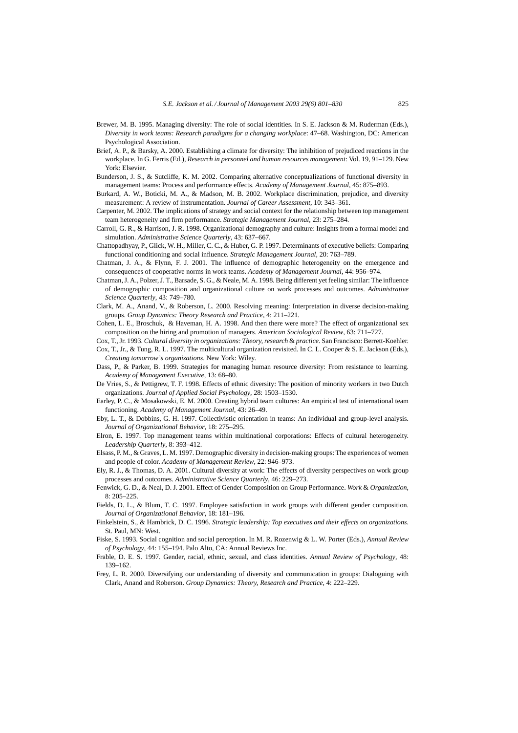- <span id="page-24-0"></span>Brewer, M. B. 1995. Managing diversity: The role of social identities. In S. E. Jackson & M. Ruderman (Eds.), *Diversity in work teams: Research paradigms for a changing workplace*: 47–68. Washington, DC: American Psychological Association.
- Brief, A. P., & Barsky, A. 2000. Establishing a climate for diversity: The inhibition of prejudiced reactions in the workplace. In G. Ferris (Ed.), *Research in personnel and human resources management*: Vol. 19, 91–129. New York: Elsevier.
- Bunderson, J. S., & Sutcliffe, K. M. 2002. Comparing alternative conceptualizations of functional diversity in management teams: Process and performance effects. *Academy of Management Journal*, 45: 875–893.
- Burkard, A. W., Boticki, M. A., & Madson, M. B. 2002. Workplace discrimination, prejudice, and diversity measurement: A review of instrumentation. *Journal of Career Assessment*, 10: 343–361.
- Carpenter, M. 2002. The implications of strategy and social context for the relationship between top management team heterogeneity and firm performance. *Strategic Management Journal*, 23: 275–284.
- Carroll, G. R., & Harrison, J. R. 1998. Organizational demography and culture: Insights from a formal model and simulation. *Administrative Science Quarterly*, 43: 637–667.
- Chattopadhyay, P., Glick, W. H., Miller, C. C., & Huber, G. P. 1997. Determinants of executive beliefs: Comparing functional conditioning and social influence. *Strategic Management Journal*, 20: 763–789.
- Chatman, J. A., & Flynn, F. J. 2001. The influence of demographic heterogeneity on the emergence and consequences of cooperative norms in work teams. *Academy of Management Journal*, 44: 956–974.
- Chatman, J. A., Polzer, J. T., Barsade, S. G., & Neale, M. A. 1998. Being different yet feeling similar: The influence of demographic composition and organizational culture on work processes and outcomes. *Administrative Science Quarterly*, 43: 749–780.
- Clark, M. A., Anand, V., & Roberson, L. 2000. Resolving meaning: Interpretation in diverse decision-making groups. *Group Dynamics: Theory Research and Practice*, 4: 211–221.
- Cohen, L. E., Broschuk, & Haveman, H. A. 1998. And then there were more? The effect of organizational sex composition on the hiring and promotion of managers. *American Sociological Review*, 63: 711–727.
- Cox, T., Jr. 1993. *Cultural diversity in organizations: Theory, research* & *practice*. San Francisco: Berrett-Koehler.
- Cox, T., Jr., & Tung, R. L. 1997. The multicultural organization revisited. In C. L. Cooper & S. E. Jackson (Eds.), *Creating tomorrow's organizations*. New York: Wiley.
- Dass, P., & Parker, B. 1999. Strategies for managing human resource diversity: From resistance to learning. *Academy of Management Executive*, 13: 68–80.
- De Vries, S., & Pettigrew, T. F. 1998. Effects of ethnic diversity: The position of minority workers in two Dutch organizations. *Journal of Applied Social Psychology*, 28: 1503–1530.
- Earley, P. C., & Mosakowski, E. M. 2000. Creating hybrid team cultures: An empirical test of international team functioning. *Academy of Management Journal*, 43: 26–49.
- Eby, L. T., & Dobbins, G. H. 1997. Collectivistic orientation in teams: An individual and group-level analysis. *Journal of Organizational Behavior*, 18: 275–295.
- Elron, E. 1997. Top management teams within multinational corporations: Effects of cultural heterogeneity. *Leadership Quarterly*, 8: 393–412.
- Elsass, P. M., & Graves, L. M. 1997. Demographic diversity in decision-making groups: The experiences of women and people of color. *Academy of Management Review*, 22: 946–973.
- Ely, R. J., & Thomas, D. A. 2001. Cultural diversity at work: The effects of diversity perspectives on work group processes and outcomes. *Administrative Science Quarterly*, 46: 229–273.
- Fenwick, G. D., & Neal, D. J. 2001. Effect of Gender Composition on Group Performance. *Work* & *Organization*, 8: 205–225.
- Fields, D. L., & Blum, T. C. 1997. Employee satisfaction in work groups with different gender composition. *Journal of Organizational Behavior*, 18: 181–196.
- Finkelstein, S., & Hambrick, D. C. 1996. *Strategic leadership: Top executives and their effects on organizations*. St. Paul, MN: West.
- Fiske, S. 1993. Social cognition and social perception. In M. R. Rozenwig & L. W. Porter (Eds.), *Annual Review of Psychology*, 44: 155–194. Palo Alto, CA: Annual Reviews Inc.
- Frable, D. E. S. 1997. Gender, racial, ethnic, sexual, and class identities. *Annual Review of Psychology*, 48: 139–162.
- Frey, L. R. 2000. Diversifying our understanding of diversity and communication in groups: Dialoguing with Clark, Anand and Roberson. *Group Dynamics: Theory, Research and Practice*, 4: 222–229.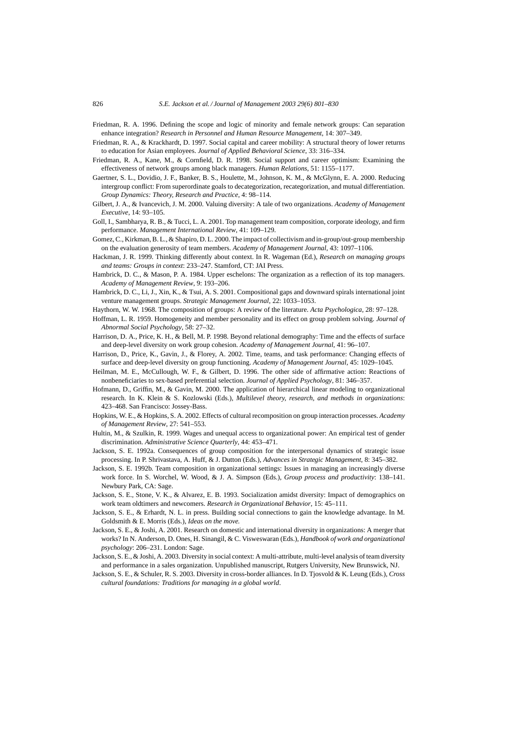- <span id="page-25-0"></span>Friedman, R. A. 1996. Defining the scope and logic of minority and female network groups: Can separation enhance integration? *Research in Personnel and Human Resource Management*, 14: 307–349.
- Friedman, R. A., & Krackhardt, D. 1997. Social capital and career mobility: A structural theory of lower returns to education for Asian employees. *Journal of Applied Behavioral Science*, 33: 316–334.
- Friedman, R. A., Kane, M., & Cornfield, D. R. 1998. Social support and career optimism: Examining the effectiveness of network groups among black managers. *Human Relations*, 51: 1155–1177.
- Gaertner, S. L., Dovidio, J. F., Banker, B. S., Houlette, M., Johnson, K. M., & McGlynn, E. A. 2000. Reducing intergroup conflict: From superordinate goals to decategorization, recategorization, and mutual differentiation. *Group Dynamics: Theory, Research and Practice*, 4: 98–114.
- Gilbert, J. A., & Ivancevich, J. M. 2000. Valuing diversity: A tale of two organizations. *Academy of Management Executive*, 14: 93–105.
- Goll, I., Sambharya, R. B., & Tucci, L. A. 2001. Top management team composition, corporate ideology, and firm performance. *Management International Review*, 41: 109–129.
- Gomez, C., Kirkman, B. L., & Shapiro, D. L. 2000. The impact of collectivism and in-group/out-group membership on the evaluation generosity of team members. *Academy of Management Journal*, 43: 1097–1106.
- Hackman, J. R. 1999. Thinking differently about context. In R. Wageman (Ed.), *Research on managing groups and teams: Groups in context*: 233–247. Stamford, CT: JAI Press.
- Hambrick, D. C., & Mason, P. A. 1984. Upper eschelons: The organization as a reflection of its top managers. *Academy of Management Review*, 9: 193–206.
- Hambrick, D. C., Li, J., Xin, K., & Tsui, A. S. 2001. Compositional gaps and downward spirals international joint venture management groups. *Strategic Management Journal*, 22: 1033–1053.
- Haythorn, W. W. 1968. The composition of groups: A review of the literature. *Acta Psychologica*, 28: 97–128.
- Hoffman, L. R. 1959. Homogeneity and member personality and its effect on group problem solving. *Journal of Abnormal Social Psychology*, 58: 27–32.
- Harrison, D. A., Price, K. H., & Bell, M. P. 1998. Beyond relational demography: Time and the effects of surface and deep-level diversity on work group cohesion. *Academy of Management Journal*, 41: 96–107.
- Harrison, D., Price, K., Gavin, J., & Florey, A. 2002. Time, teams, and task performance: Changing effects of surface and deep-level diversity on group functioning. *Academy of Management Journal*, 45: 1029–1045.
- Heilman, M. E., McCullough, W. F., & Gilbert, D. 1996. The other side of affirmative action: Reactions of nonbeneficiaries to sex-based preferential selection. *Journal of Applied Psychology*, 81: 346–357.
- Hofmann, D., Griffin, M., & Gavin, M. 2000. The application of hierarchical linear modeling to organizational research. In K. Klein & S. Kozlowski (Eds.), *Multilevel theory, research, and methods in organizations*: 423–468. San Francisco: Jossey-Bass.
- Hopkins, W. E., & Hopkins, S. A. 2002. Effects of cultural recomposition on group interaction processes. *Academy of Management Review*, 27: 541–553.
- Hultin, M., & Szulkin, R. 1999. Wages and unequal access to organizational power: An empirical test of gender discrimination. *Administrative Science Quarterly*, 44: 453–471.
- Jackson, S. E. 1992a. Consequences of group composition for the interpersonal dynamics of strategic issue processing. In P. Shrivastava, A. Huff, & J. Dutton (Eds.), *Advances in Strategic Management*, 8: 345–382.
- Jackson, S. E. 1992b. Team composition in organizational settings: Issues in managing an increasingly diverse work force. In S. Worchel, W. Wood, & J. A. Simpson (Eds.), *Group process and productivity*: 138–141. Newbury Park, CA: Sage.
- Jackson, S. E., Stone, V. K., & Alvarez, E. B. 1993. Socialization amidst diversity: Impact of demographics on work team oldtimers and newcomers. *Research in Organizational Behavior*, 15: 45–111.
- Jackson, S. E., & Erhardt, N. L. in press. Building social connections to gain the knowledge advantage. In M. Goldsmith & E. Morris (Eds.), *Ideas on the move.*
- Jackson, S. E., & Joshi, A. 2001. Research on domestic and international diversity in organizations: A merger that works? In N. Anderson, D. Ones, H. Sinangil, & C. Visweswaran (Eds.), *Handbook of work and organizational psychology*: 206–231. London: Sage.
- Jackson, S. E., & Joshi, A. 2003. Diversity in social context: A multi-attribute, multi-level analysis of team diversity and performance in a sales organization. Unpublished manuscript, Rutgers University, New Brunswick, NJ.
- Jackson, S. E., & Schuler, R. S. 2003. Diversity in cross-border alliances. In D. Tjosvold & K. Leung (Eds.), *Cross cultural foundations: Traditions for managing in a global world*.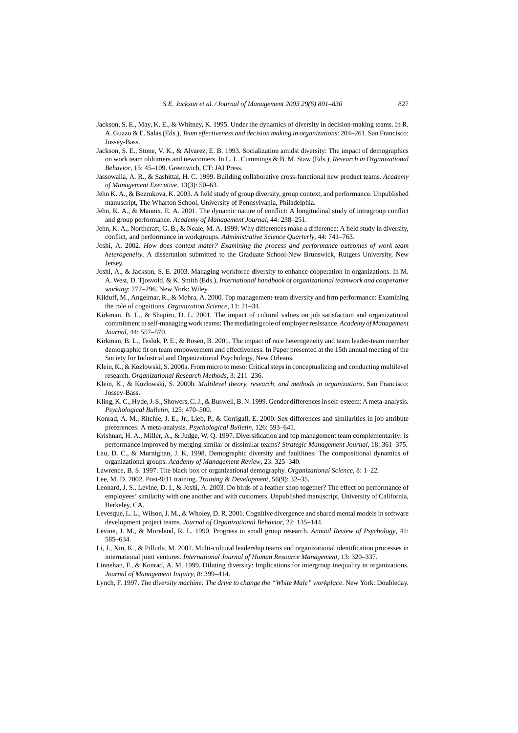- <span id="page-26-0"></span>Jackson, S. E., May, K. E., & Whitney, K. 1995. Under the dynamics of diversity in decision-making teams. In R. A. Guzzo & E. Salas (Eds.), *Team effectiveness and decision making in organizations*: 204–261. San Francisco: Jossey-Bass.
- Jackson, S. E., Stone, V. K., & Alvarez, E. B. 1993. Socialization amidst diversity: The impact of demographics on work team oldtimers and newcomers. In L. L. Cummings & B. M. Staw (Eds.), *Research in Organizational Behavior*, 15: 45–109. Greenwich, CT: JAI Press.
- Jassowalla, A. R., & Sashittal, H. C. 1999. Building collaborative cross-functional new product teams. *Academy of Management Executive*, 13(3): 50–63.
- Jehn K. A., & Bezrukova, K. 2003. A field study of group diversity, group context, and performance. Unpublished manuscript, The Wharton School, University of Pennsylvania, Philadelphia.
- Jehn, K. A., & Mannix, E. A. 2001. The dynamic nature of conflict: A longitudinal study of intragroup conflict and group performance. *Academy of Management Journal*, 44: 238–251.
- Jehn, K. A., Northcraft, G. B., & Neale, M. A. 1999. Why differences make a difference: A field study in diversity, conflict, and performance in workgroups. *Administrative Science Quarterly*, 44: 741–763.
- Joshi, A. 2002. *How does context mater? Examining the process and performance outcomes of work team heterogeneity*. A dissertation submitted to the Graduate School-New Brunswick, Rutgers University, New Jersey.
- Joshi, A., & Jackson, S. E. 2003. Managing workforce diversity to enhance cooperation in organizations. In M. A. West, D. Tjosvold, & K. Smith (Eds.), *International handbook of organizational teamwork and cooperative working*: 277–296. New York: Wiley.
- Kilduff, M., Angelmar, R., & Mehra, A. 2000. Top management-team diversity and firm performance: Examining the role of cognitions. *Organization Science*, 11: 21–34.
- Kirkman, B. L., & Shapiro, D. L. 2001. The impact of cultural values on job satisfaction and organizational commitment in self-managing work teams: The mediating role of employee resistance.*Academy of Management Journal*, 44: 557–570.
- Kirkman, B. L., Tesluk, P. E., & Rosen, B. 2001. The impact of race heterogeneity and team leader-team member demographic fit on team empowerment and effectiveness. In Paper presented at the 15th annual meeting of the Society for Industrial and Organizational Psychology, New Orleans.
- Klein, K., & Kozlowski, S. 2000a. From micro to meso: Critical steps in conceptualizing and conducting multilevel research. *Organizational Research Methods*, 3: 211–236.
- Klein, K., & Kozlowski, S. 2000b. *Multilevel theory, research, and methods in organizations*. San Francisco: Jossey-Bass.
- Kling, K. C., Hyde, J. S., Showers, C. J., & Buswell, B. N. 1999. Gender differences in self-esteem: A meta-analysis. *Psychological Bulletin*, 125: 470–500.
- Konrad, A. M., Ritchie, J. E., Jr., Lieb, P., & Corrigall, E. 2000. Sex differences and similarities in job attribute preferences: A meta-analysis. *Psychological Bulletin*, 126: 593–641.
- Krishnan, H. A., Miller, A., & Judge, W. Q. 1997. Diversification and top management team complementarity: Is performance improved by merging similar or dissimilar teams? *Strategic Management Journal*, 18: 361–375.
- Lau, D. C., & Murnighan, J. K. 1998. Demographic diversity and faultlines: The compositional dynamics of organizational groups. *Academy of Management Review*, 23: 325–340.
- Lawrence, B. S. 1997. The black box of organizational demography. *Organizational Science*, 8: 1–22.
- Lee, M. D. 2002. Post-9/11 training. *Training* & *Development*, 56(9): 32–35.
- Leonard, J. S., Levine, D. I., & Joshi, A. 2003. Do birds of a feather shop together? The effect on performance of employees' similarity with one another and with customers. Unpublished manuscript, University of California, Berkeley, CA.
- Levesque, L. L., Wilson, J. M., & Wholey, D. R. 2001. Cognitive divergence and shared mental models in software development project teams. *Journal of Organizational Behavior*, 22: 135–144.
- Levine, J. M., & Moreland, R. L. 1990. Progress in small group research. *Annual Review of Psychology*, 41: 585–634.
- Li, J., Xin, K., & Pillutla, M. 2002. Multi-cultural leadership teams and organizational identification processes in international joint ventures. *International Journal of Human Resource Management*, 13: 320–337.
- Linnehan, F., & Konrad, A. M. 1999. Diluting diversity: Implications for intergroup inequality in organizations. *Journal of Management Inquiry*, 8: 399–414.
- Lynch, F. 1997. *The diversity machine: The drive to change the "White Male" workplace*. New York: Doubleday.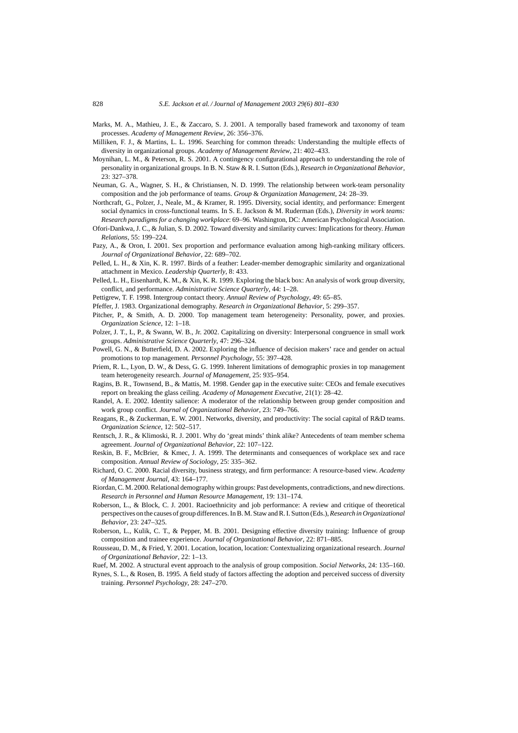- <span id="page-27-0"></span>Marks, M. A., Mathieu, J. E., & Zaccaro, S. J. 2001. A temporally based framework and taxonomy of team processes. *Academy of Management Review*, 26: 356–376.
- Milliken, F. J., & Martins, L. L. 1996. Searching for common threads: Understanding the multiple effects of diversity in organizational groups. *Academy of Management Review*, 21: 402–433.
- Moynihan, L. M., & Peterson, R. S. 2001. A contingency configurational approach to understanding the role of personality in organizational groups. In B. N. Staw & R. I. Sutton (Eds.), *Research in Organizational Behavior*, 23: 327–378.
- Neuman, G. A., Wagner, S. H., & Christiansen, N. D. 1999. The relationship between work-team personality composition and the job performance of teams. *Group* & *Organization Management*, 24: 28–39.
- Northcraft, G., Polzer, J., Neale, M., & Kramer, R. 1995. Diversity, social identity, and performance: Emergent social dynamics in cross-functional teams. In S. E. Jackson & M. Ruderman (Eds.), *Diversity in work teams: Research paradigms for a changing workplace*: 69–96*.* Washington, DC: American Psychological Association.
- Ofori-Dankwa, J. C., & Julian, S. D. 2002. Toward diversity and similarity curves: Implications for theory. *Human Relations*, 55: 199–224.
- Pazy, A., & Oron, I. 2001. Sex proportion and performance evaluation among high-ranking military officers. *Journal of Organizational Behavior*, 22: 689–702.
- Pelled, L. H., & Xin, K. R. 1997. Birds of a feather: Leader-member demographic similarity and organizational attachment in Mexico. *Leadership Quarterly*, 8: 433.
- Pelled, L. H., Eisenhardt, K. M., & Xin, K. R. 1999. Exploring the black box: An analysis of work group diversity, conflict, and performance. *Administrative Science Quarterly*, 44: 1–28.
- Pettigrew, T. F. 1998. Intergroup contact theory. *Annual Review of Psychology*, 49: 65–85.
- Pfeffer, J. 1983. Organizational demography. *Research in Organizational Behavior*, 5: 299–357.
- Pitcher, P., & Smith, A. D. 2000. Top management team heterogeneity: Personality, power, and proxies. *Organization Science*, 12: 1–18.
- Polzer, J. T., L, P., & Swann, W. B., Jr. 2002. Capitalizing on diversity: Interpersonal congruence in small work groups. *Administrative Science Quarterly*, 47: 296–324.
- Powell, G. N., & Butterfield, D. A. 2002. Exploring the influence of decision makers' race and gender on actual promotions to top management. *Personnel Psychology*, 55: 397–428.
- Priem, R. L., Lyon, D. W., & Dess, G. G. 1999. Inherent limitations of demographic proxies in top management team heterogeneity research. *Journal of Management*, 25: 935–954.
- Ragins, B. R., Townsend, B., & Mattis, M. 1998. Gender gap in the executive suite: CEOs and female executives report on breaking the glass ceiling. *Academy of Management Executive*, 21(1): 28–42.
- Randel, A. E. 2002. Identity salience: A moderator of the relationship between group gender composition and work group conflict. *Journal of Organizational Behavior*, 23: 749–766.
- Reagans, R., & Zuckerman, E. W. 2001. Networks, diversity, and productivity: The social capital of R&D teams. *Organization Science*, 12: 502–517.
- Rentsch, J. R., & Klimoski, R. J. 2001. Why do 'great minds' think alike? Antecedents of team member schema agreement. *Journal of Organizational Behavior*, 22: 107–122.
- Reskin, B. F., McBrier, & Kmec, J. A. 1999. The determinants and consequences of workplace sex and race composition. *Annual Review of Sociology*, 25: 335–362.
- Richard, O. C. 2000. Racial diversity, business strategy, and firm performance: A resource-based view. *Academy of Management Journal*, 43: 164–177.
- Riordan, C. M. 2000. Relational demography within groups: Past developments, contradictions, and new directions. *Research in Personnel and Human Resource Management*, 19: 131–174.
- Roberson, L., & Block, C. J. 2001. Racioethnicity and job performance: A review and critique of theoretical perspectives on the causes of group differences. In B. M. Staw and R. I. Sutton (Eds.),*Research in Organizational Behavior*, 23: 247–325.
- Roberson, L., Kulik, C. T., & Pepper, M. B. 2001. Designing effective diversity training: Influence of group composition and trainee experience. *Journal of Organizational Behavior*, 22: 871–885.
- Rousseau, D. M., & Fried, Y. 2001. Location, location, location: Contextualizing organizational research. *Journal of Organizational Behavior*, 22: 1–13.
- Ruef, M. 2002. A structural event approach to the analysis of group composition. *Social Networks*, 24: 135–160.
- Rynes, S. L., & Rosen, B. 1995. A field study of factors affecting the adoption and perceived success of diversity training. *Personnel Psychology*, 28: 247–270.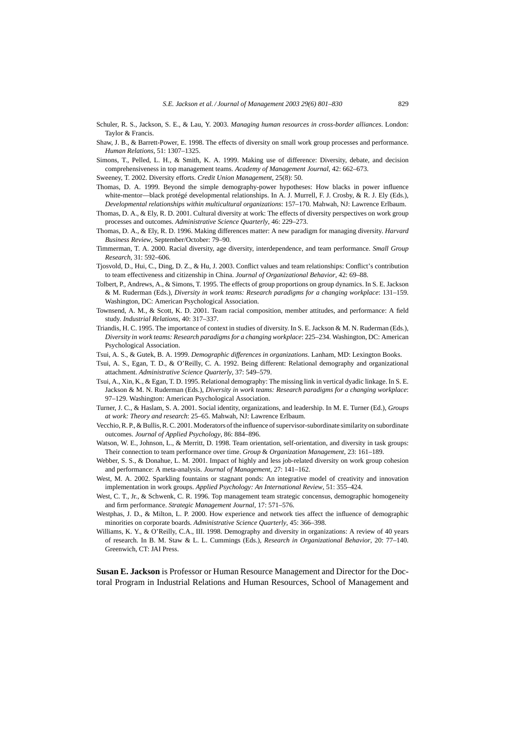- <span id="page-28-0"></span>Schuler, R. S., Jackson, S. E., & Lau, Y. 2003. *Managing human resources in cross-border alliances*. London: Taylor & Francis.
- Shaw, J. B., & Barrett-Power, E. 1998. The effects of diversity on small work group processes and performance. *Human Relations*, 51: 1307–1325.
- Simons, T., Pelled, L. H., & Smith, K. A. 1999. Making use of difference: Diversity, debate, and decision comprehensiveness in top management teams. *Academy of Management Journal*, 42: 662–673.

Sweeney, T. 2002. Diversity efforts. *Credit Union Management*, 25(8): 50.

- Thomas, D. A. 1999. Beyond the simple demography-power hypotheses: How blacks in power influence white-mentor—black protégé developmental relationships. In A. J. Murrell, F. J. Crosby, & R. J. Ely (Eds.), *Developmental relationships within multicultural organizations*: 157–170. Mahwah, NJ: Lawrence Erlbaum.
- Thomas, D. A., & Ely, R. D. 2001. Cultural diversity at work: The effects of diversity perspectives on work group processes and outcomes. *Administrative Science Quarterly*, 46: 229–273.
- Thomas, D. A., & Ely, R. D. 1996. Making differences matter: A new paradigm for managing diversity. *Harvard Business Review*, September/October: 79–90.
- Timmerman, T. A. 2000. Racial diversity, age diversity, interdependence, and team performance. *Small Group Research*, 31: 592–606.
- Tjosvold, D., Hui, C., Ding, D. Z., & Hu, J. 2003. Conflict values and team relationships: Conflict's contribution to team effectiveness and citizenship in China. *Journal of Organizational Behavior*, 42: 69–88.
- Tolbert, P., Andrews, A., & Simons, T. 1995. The effects of group proportions on group dynamics. In S. E. Jackson & M. Ruderman (Eds.), *Diversity in work teams: Research paradigms for a changing workplace*: 131–159. Washington, DC: American Psychological Association.
- Townsend, A. M., & Scott, K. D. 2001. Team racial composition, member attitudes, and performance: A field study. *Industrial Relations*, 40: 317–337.
- Triandis, H. C. 1995. The importance of context in studies of diversity. In S. E. Jackson & M. N. Ruderman (Eds.), *Diversity in work teams: Research paradigms for a changing workplace*: 225–234. Washington, DC: American Psychological Association.
- Tsui, A. S., & Gutek, B. A. 1999. *Demographic differences in organizations*. Lanham, MD: Lexington Books.
- Tsui, A. S., Egan, T. D., & O'Reilly, C. A. 1992. Being different: Relational demography and organizational attachment. *Administrative Science Quarterly*, 37: 549–579.
- Tsui, A., Xin, K., & Egan, T. D. 1995. Relational demography: The missing link in vertical dyadic linkage. In S. E. Jackson & M. N. Ruderman (Eds.), *Diversity in work teams: Research paradigms for a changing workplace*: 97–129. Washington: American Psychological Association.
- Turner, J. C., & Haslam, S. A. 2001. Social identity, organizations, and leadership. In M. E. Turner (Ed.), *Groups at work: Theory and research*: 25–65. Mahwah, NJ: Lawrence Erlbaum.
- Vecchio, R. P., & Bullis, R. C. 2001. Moderators of the influence of supervisor-subordinate similarity on subordinate outcomes. *Journal of Applied Psychology*, 86: 884–896.
- Watson, W. E., Johnson, L., & Merritt, D. 1998. Team orientation, self-orientation, and diversity in task groups: Their connection to team performance over time. *Group* & *Organization Management*, 23: 161–189.
- Webber, S. S., & Donahue, L. M. 2001. Impact of highly and less job-related diversity on work group cohesion and performance: A meta-analysis. *Journal of Management*, 27: 141–162.
- West, M. A. 2002. Sparkling fountains or stagnant ponds: An integrative model of creativity and innovation implementation in work groups. *Applied Psychology: An International Review*, 51: 355–424.
- West, C. T., Jr., & Schwenk, C. R. 1996. Top management team strategic concensus, demographic homogeneity and firm performance. *Strategic Management Journal*, 17: 571–576.
- Westphas, J. D., & Milton, L. P. 2000. How experience and network ties affect the influence of demographic minorities on corporate boards. *Administrative Science Quarterly*, 45: 366–398.
- Williams, K. Y., & O'Reilly, C.A., III. 1998. Demography and diversity in organizations: A review of 40 years of research. In B. M. Staw & L. L. Cummings (Eds.), *Research in Organizational Behavior*, 20: 77–140. Greenwich, CT: JAI Press.

**Susan E. Jackson** is Professor or Human Resource Management and Director for the Doctoral Program in Industrial Relations and Human Resources, School of Management and